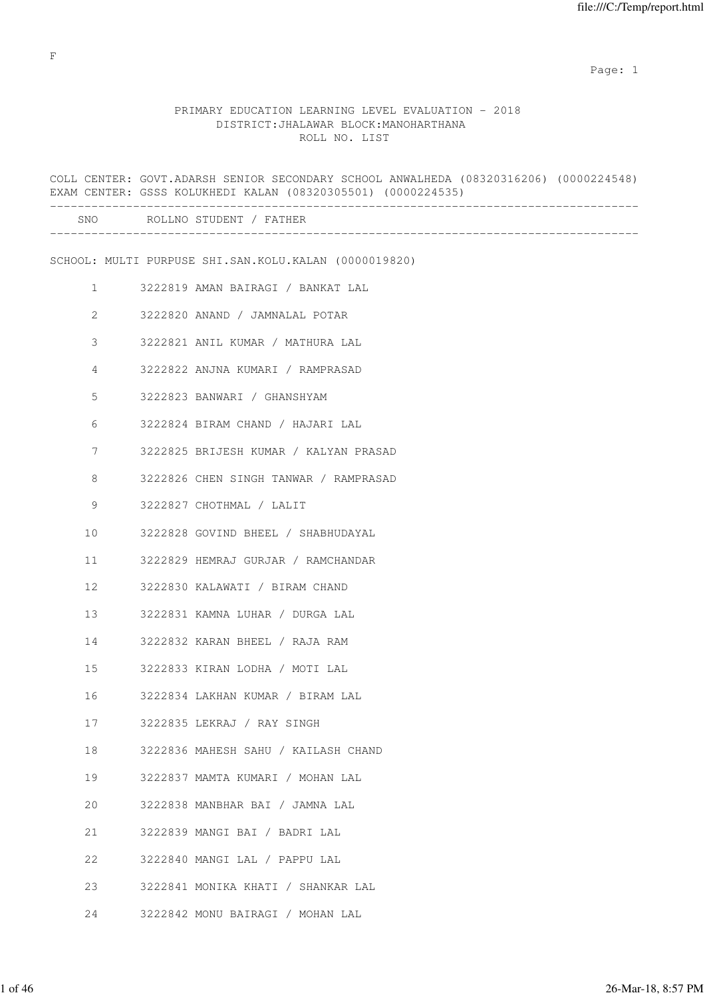# PRIMARY EDUCATION LEARNING LEVEL EVALUATION - 2018 DISTRICT:JHALAWAR BLOCK:MANOHARTHANA ROLL NO. LIST

|                 | COLL CENTER: GOVT.ADARSH SENIOR SECONDARY SCHOOL ANWALHEDA (08320316206) (0000224548)<br>EXAM CENTER: GSSS KOLUKHEDI KALAN (08320305501) (0000224535) |
|-----------------|-------------------------------------------------------------------------------------------------------------------------------------------------------|
|                 | SNO ROLLNO STUDENT / FATHER                                                                                                                           |
|                 | SCHOOL: MULTI PURPUSE SHI.SAN.KOLU.KALAN (0000019820)                                                                                                 |
| $\mathbf{1}$    | 3222819 AMAN BAIRAGI / BANKAT LAL                                                                                                                     |
| $\overline{2}$  | 3222820 ANAND / JAMNALAL POTAR                                                                                                                        |
| 3               | 3222821 ANIL KUMAR / MATHURA LAL                                                                                                                      |
| 4               | 3222822 ANJNA KUMARI / RAMPRASAD                                                                                                                      |
| 5               | 3222823 BANWARI / GHANSHYAM                                                                                                                           |
| 6               | 3222824 BIRAM CHAND / HAJARI LAL                                                                                                                      |
| 7               | 3222825 BRIJESH KUMAR / KALYAN PRASAD                                                                                                                 |
| 8               | 3222826 CHEN SINGH TANWAR / RAMPRASAD                                                                                                                 |
| 9               | 3222827 CHOTHMAL / LALIT                                                                                                                              |
| 10              | 3222828 GOVIND BHEEL / SHABHUDAYAL                                                                                                                    |
| 11              | 3222829 HEMRAJ GURJAR / RAMCHANDAR                                                                                                                    |
| 12 <sup>°</sup> | 3222830 KALAWATI / BIRAM CHAND                                                                                                                        |
| 13              | 3222831 KAMNA LUHAR / DURGA LAL                                                                                                                       |
| 14              | 3222832 KARAN BHEEL / RAJA RAM                                                                                                                        |
| 15              | 3222833 KIRAN LODHA / MOTI LAL                                                                                                                        |
| 16              | 3222834 LAKHAN KUMAR / BIRAM LAL                                                                                                                      |
| 17              | 3222835 LEKRAJ / RAY SINGH                                                                                                                            |
| 18              | 3222836 MAHESH SAHU / KAILASH CHAND                                                                                                                   |
| 19              | 3222837 MAMTA KUMARI / MOHAN LAL                                                                                                                      |
| 20              | 3222838 MANBHAR BAI / JAMNA LAL                                                                                                                       |
| 21              | 3222839 MANGI BAI / BADRI LAL                                                                                                                         |
| 22              | 3222840 MANGI LAL / PAPPU LAL                                                                                                                         |
| 23              | 3222841 MONIKA KHATI / SHANKAR LAL                                                                                                                    |
| 24              | 3222842 MONU BAIRAGI / MOHAN LAL                                                                                                                      |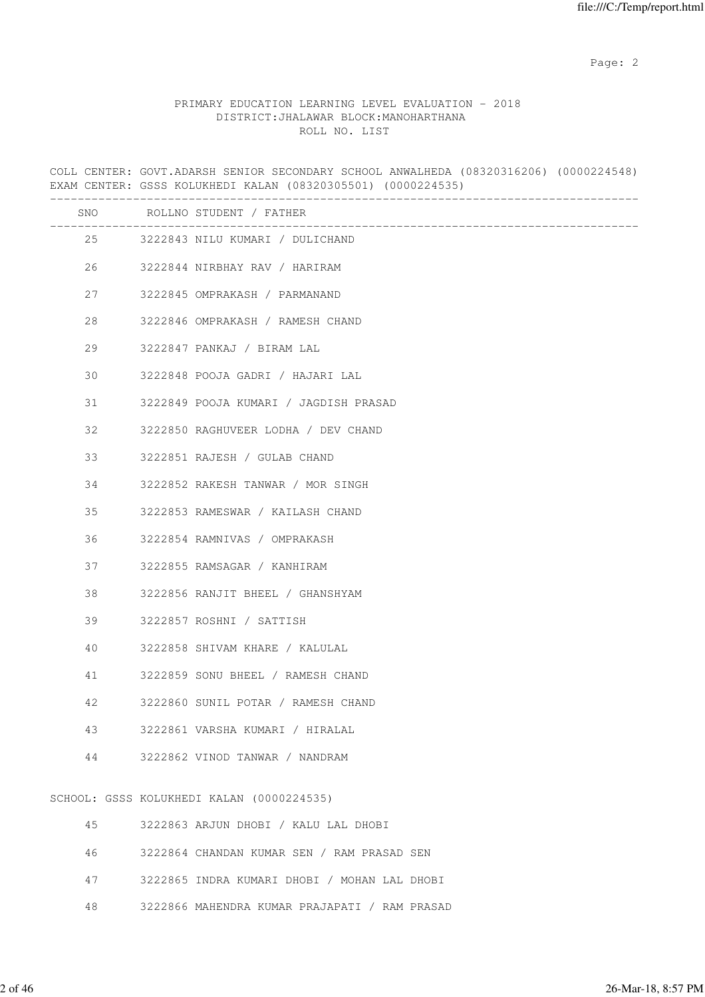### PRIMARY EDUCATION LEARNING LEVEL EVALUATION - 2018 DISTRICT:JHALAWAR BLOCK:MANOHARTHANA ROLL NO. LIST

COLL CENTER: GOVT.ADARSH SENIOR SECONDARY SCHOOL ANWALHEDA (08320316206) (0000224548) EXAM CENTER: GSSS KOLUKHEDI KALAN (08320305501) (0000224535) ------------------------------------------------------------------------------------- SNO ROLLNO STUDENT / FATHER ------------------------------------------------------------------------------------- 25 3222843 NILU KUMARI / DULICHAND 26 3222844 NIRBHAY RAV / HARIRAM 27 3222845 OMPRAKASH / PARMANAND 28 3222846 OMPRAKASH / RAMESH CHAND 29 3222847 PANKAJ / BIRAM LAL 30 3222848 POOJA GADRI / HAJARI LAL 31 3222849 POOJA KUMARI / JAGDISH PRASAD 32 3222850 RAGHUVEER LODHA / DEV CHAND 33 3222851 RAJESH / GULAB CHAND 34 3222852 RAKESH TANWAR / MOR SINGH 35 3222853 RAMESWAR / KAILASH CHAND 36 3222854 RAMNIVAS / OMPRAKASH 37 3222855 RAMSAGAR / KANHIRAM 38 3222856 RANJIT BHEEL / GHANSHYAM 39 3222857 ROSHNI / SATTISH 40 3222858 SHIVAM KHARE / KALULAL 41 3222859 SONU BHEEL / RAMESH CHAND 42 3222860 SUNIL POTAR / RAMESH CHAND 43 3222861 VARSHA KUMARI / HIRALAL 44 3222862 VINOD TANWAR / NANDRAM SCHOOL: GSSS KOLUKHEDI KALAN (0000224535) 45 3222863 ARJUN DHOBI / KALU LAL DHOBI 46 3222864 CHANDAN KUMAR SEN / RAM PRASAD SEN 47 3222865 INDRA KUMARI DHOBI / MOHAN LAL DHOBI

48 3222866 MAHENDRA KUMAR PRAJAPATI / RAM PRASAD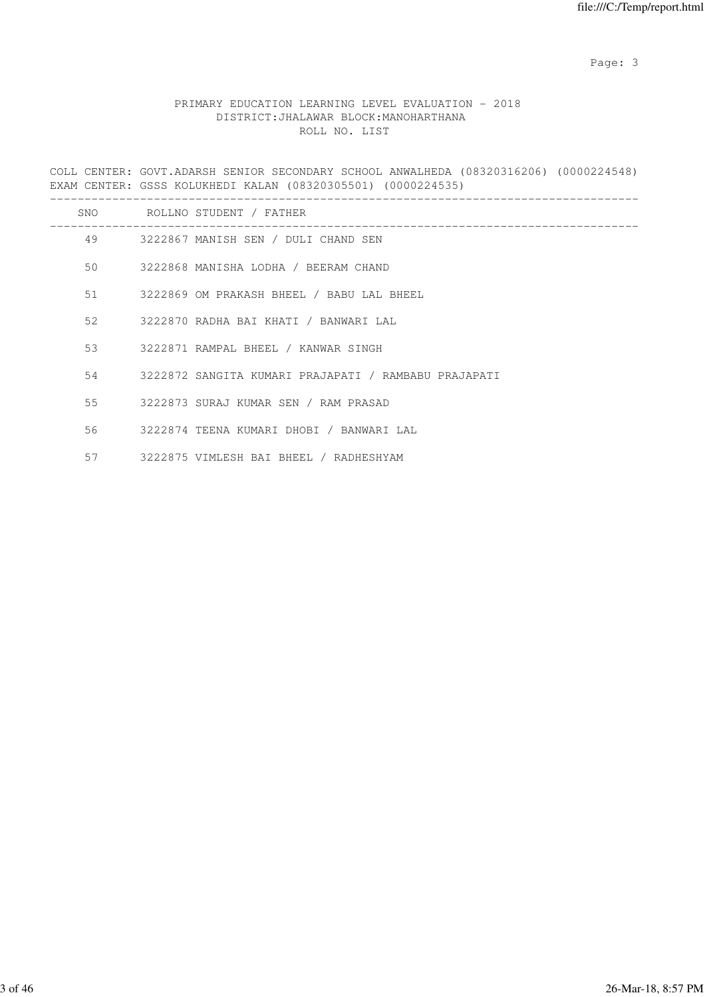Page: 3

# PRIMARY EDUCATION LEARNING LEVEL EVALUATION - 2018 DISTRICT:JHALAWAR BLOCK:MANOHARTHANA ROLL NO. LIST

COLL CENTER: GOVT.ADARSH SENIOR SECONDARY SCHOOL ANWALHEDA (08320316206) (0000224548) EXAM CENTER: GSSS KOLUKHEDI KALAN (08320305501) (0000224535)

| SNO | ROLLNO STUDENT / FATHER                                 |
|-----|---------------------------------------------------------|
|     | 49 3222867 MANISH SEN / DULI CHAND SEN                  |
|     | 50 3222868 MANISHA LODHA / BEERAM CHAND                 |
|     | 51 3222869 OM PRAKASH BHEEL / BABU LAL BHEEL            |
|     | 52 3222870 RADHA BAI KHATI / BANWARI LAL                |
|     | 53 3222871 RAMPAL BHEEL / KANWAR SINGH                  |
|     | 54 3222872 SANGITA KUMARI PRAJAPATI / RAMBABU PRAJAPATI |
|     | 55 3222873 SURAJ KUMAR SEN / RAM PRASAD                 |
|     | 56 3222874 TEENA KUMARI DHOBI / BANWARI LAL             |
|     | 57 3222875 VIMLESH BAI BHEEL / RADHESHYAM               |
|     |                                                         |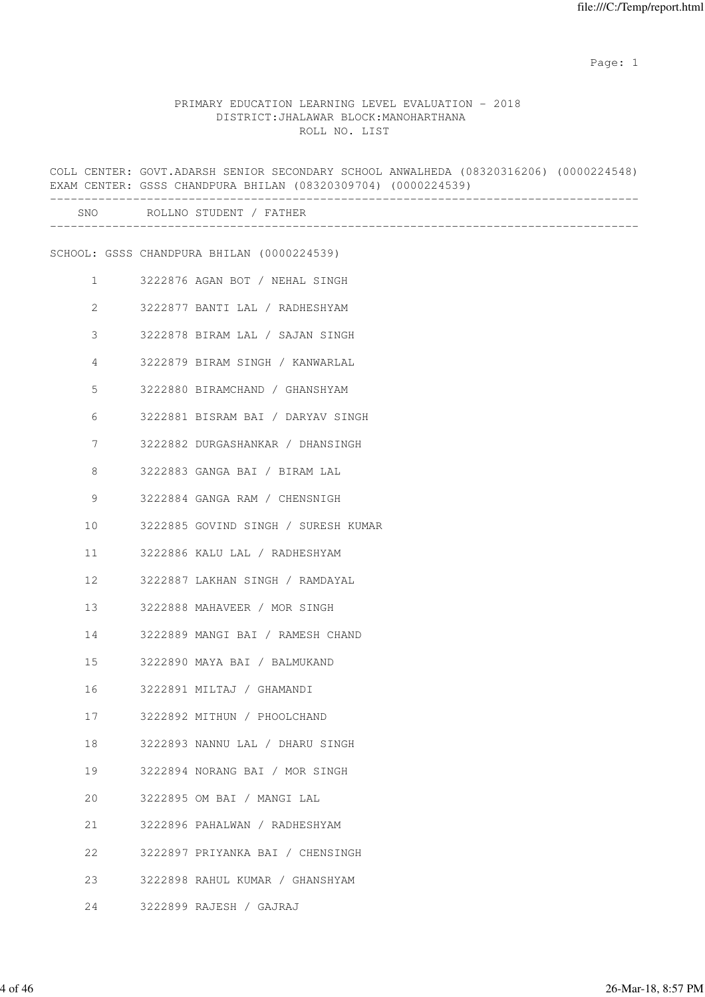# PRIMARY EDUCATION LEARNING LEVEL EVALUATION - 2018 DISTRICT:JHALAWAR BLOCK:MANOHARTHANA ROLL NO. LIST

|                       | COLL CENTER: GOVT.ADARSH SENIOR SECONDARY SCHOOL ANWALHEDA (08320316206) (0000224548)<br>EXAM CENTER: GSSS CHANDPURA BHILAN (08320309704) (0000224539) |
|-----------------------|--------------------------------------------------------------------------------------------------------------------------------------------------------|
|                       | SNO ROLLNO STUDENT / FATHER                                                                                                                            |
|                       | SCHOOL: GSSS CHANDPURA BHILAN (0000224539)                                                                                                             |
| $\mathbf{1}$          | 3222876 AGAN BOT / NEHAL SINGH                                                                                                                         |
| $\mathbf{2}^{\prime}$ | 3222877 BANTI LAL / RADHESHYAM                                                                                                                         |
| 3                     | 3222878 BIRAM LAL / SAJAN SINGH                                                                                                                        |
| 4                     | 3222879 BIRAM SINGH / KANWARLAL                                                                                                                        |
| 5                     | 3222880 BIRAMCHAND / GHANSHYAM                                                                                                                         |
| 6                     | 3222881 BISRAM BAI / DARYAV SINGH                                                                                                                      |
| 7                     | 3222882 DURGASHANKAR / DHANSINGH                                                                                                                       |
| 8                     | 3222883 GANGA BAI / BIRAM LAL                                                                                                                          |
| 9                     | 3222884 GANGA RAM / CHENSNIGH                                                                                                                          |
| 10                    | 3222885 GOVIND SINGH / SURESH KUMAR                                                                                                                    |
| 11                    | 3222886 KALU LAL / RADHESHYAM                                                                                                                          |
| 12                    | 3222887 LAKHAN SINGH / RAMDAYAL                                                                                                                        |
| 13                    | 3222888 MAHAVEER / MOR SINGH                                                                                                                           |
| 14                    | 3222889 MANGI BAI / RAMESH CHAND                                                                                                                       |
| 15                    | 3222890 MAYA BAI / BALMUKAND                                                                                                                           |
| 16                    | 3222891 MILTAJ / GHAMANDI                                                                                                                              |
| 17                    | 3222892 MITHUN / PHOOLCHAND                                                                                                                            |
| 18                    | 3222893 NANNU LAL / DHARU SINGH                                                                                                                        |
| 19                    | 3222894 NORANG BAI / MOR SINGH                                                                                                                         |
| 20                    | 3222895 OM BAI / MANGI LAL                                                                                                                             |
| 21                    | 3222896 PAHALWAN / RADHESHYAM                                                                                                                          |
| 22                    | 3222897 PRIYANKA BAI / CHENSINGH                                                                                                                       |
| 23                    | 3222898 RAHUL KUMAR / GHANSHYAM                                                                                                                        |
| 24                    | 3222899 RAJESH / GAJRAJ                                                                                                                                |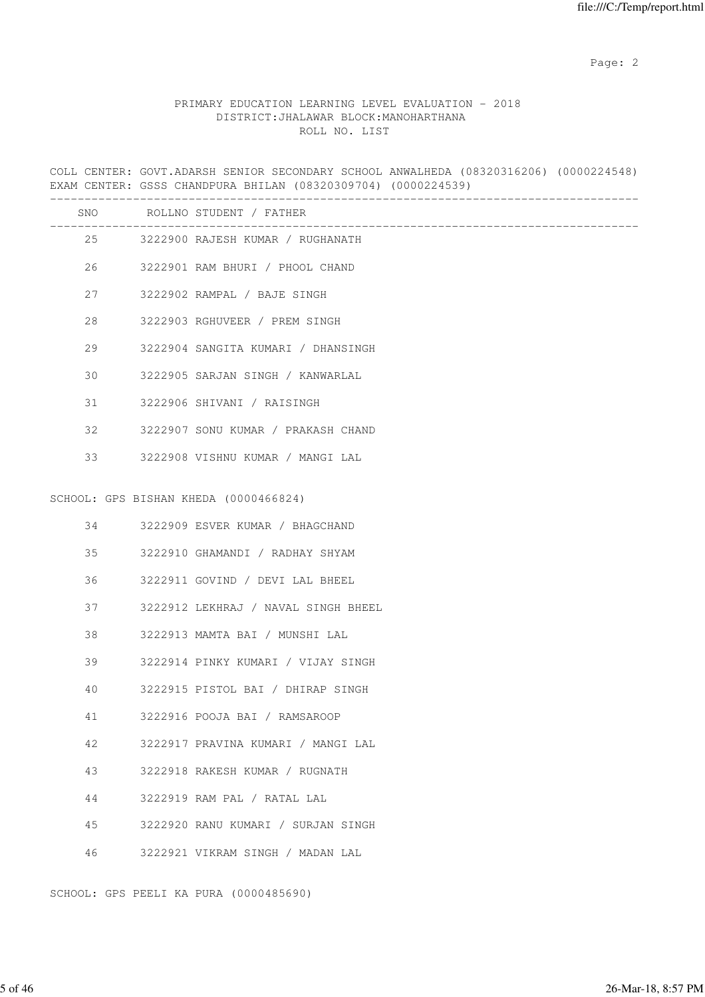# PRIMARY EDUCATION LEARNING LEVEL EVALUATION - 2018 DISTRICT:JHALAWAR BLOCK:MANOHARTHANA ROLL NO. LIST

COLL CENTER: GOVT.ADARSH SENIOR SECONDARY SCHOOL ANWALHEDA (08320316206) (0000224548) EXAM CENTER: GSSS CHANDPURA BHILAN (08320309704) (0000224539)

|    | SNO ROLLNO STUDENT / FATHER           |
|----|---------------------------------------|
|    | 25 3222900 RAJESH KUMAR / RUGHANATH   |
| 26 | 3222901 RAM BHURI / PHOOL CHAND       |
| 27 | 3222902 RAMPAL / BAJE SINGH           |
| 28 | 3222903 RGHUVEER / PREM SINGH         |
| 29 | 3222904 SANGITA KUMARI / DHANSINGH    |
| 30 | 3222905 SARJAN SINGH / KANWARLAL      |
| 31 | 3222906 SHIVANI / RAISINGH            |
| 32 | 3222907 SONU KUMAR / PRAKASH CHAND    |
| 33 | 3222908 VISHNU KUMAR / MANGI LAL      |
|    | SCHOOL: GPS BISHAN KHEDA (0000466824) |
| 34 | 3222909 ESVER KUMAR / BHAGCHAND       |
| 35 | 3222910 GHAMANDI / RADHAY SHYAM       |
| 36 | 3222911 GOVIND / DEVI LAL BHEEL       |
| 37 | 3222912 LEKHRAJ / NAVAL SINGH BHEEL   |
| 38 | 3222913 MAMTA BAI / MUNSHI LAL        |
| 39 | 3222914 PINKY KUMARI / VIJAY SINGH    |
| 40 | 3222915 PISTOL BAI / DHIRAP SINGH     |
| 41 | 3222916 POOJA BAI / RAMSAROOP         |
| 42 | 3222917 PRAVINA KUMARI / MANGI LAL    |
| 43 | 3222918 RAKESH KUMAR / RUGNATH        |
| 44 | 3222919 RAM PAL / RATAL LAL           |
| 45 | 3222920 RANU KUMARI / SURJAN SINGH    |
| 46 | 3222921 VIKRAM SINGH / MADAN LAL      |

SCHOOL: GPS PEELI KA PURA (0000485690)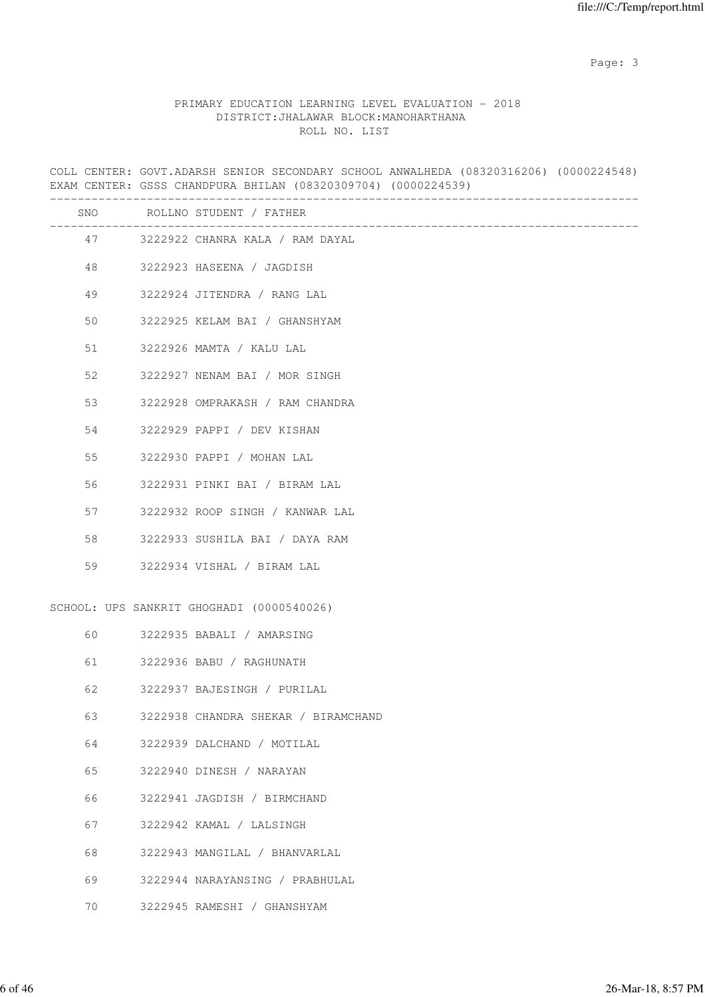Page: 3

# PRIMARY EDUCATION LEARNING LEVEL EVALUATION - 2018 DISTRICT:JHALAWAR BLOCK:MANOHARTHANA ROLL NO. LIST

COLL CENTER: GOVT.ADARSH SENIOR SECONDARY SCHOOL ANWALHEDA (08320316206) (0000224548) EXAM CENTER: GSSS CHANDPURA BHILAN (08320309704) (0000224539)

|                            | SNO ROLLNO STUDENT / FATHER                                                                                                                                |
|----------------------------|------------------------------------------------------------------------------------------------------------------------------------------------------------|
|                            | 47 3222922 CHANRA KALA / RAM DAYAL                                                                                                                         |
| 48                         | 3222923 HASEENA / JAGDISH                                                                                                                                  |
| 49                         | 3222924 JITENDRA / RANG LAL                                                                                                                                |
| 50                         | 3222925 KELAM BAI / GHANSHYAM                                                                                                                              |
| 51                         | 3222926 MAMTA / KALU LAL                                                                                                                                   |
| 52                         | 3222927 NENAM BAI / MOR SINGH                                                                                                                              |
| 53                         | 3222928 OMPRAKASH / RAM CHANDRA                                                                                                                            |
| 54                         | 3222929 PAPPI / DEV KISHAN                                                                                                                                 |
| 55                         | 3222930 PAPPI / MOHAN LAL                                                                                                                                  |
| 56                         | 3222931 PINKI BAI / BIRAM LAL                                                                                                                              |
| 57                         | 3222932 ROOP SINGH / KANWAR LAL                                                                                                                            |
| 58                         | 3222933 SUSHILA BAI / DAYA RAM                                                                                                                             |
| 59                         | 3222934 VISHAL / BIRAM LAL                                                                                                                                 |
|                            | SCHOOL: UPS SANKRIT GHOGHADI (0000540026)                                                                                                                  |
| 60                         | 3222935 BABALI / AMARSING                                                                                                                                  |
| 61                         | 3222936 BABU / RAGHUNATH                                                                                                                                   |
| 62                         | 3222937 BAJESINGH / PURILAL                                                                                                                                |
| 63                         | 3222938 CHANDRA SHEKAR / BIRAMCHAND                                                                                                                        |
| 64                         | 3222939 DALCHAND / MOTILAL                                                                                                                                 |
|                            |                                                                                                                                                            |
|                            |                                                                                                                                                            |
| 67                         | 3222942 KAMAL / LALSINGH                                                                                                                                   |
|                            |                                                                                                                                                            |
|                            |                                                                                                                                                            |
|                            |                                                                                                                                                            |
| 65<br>66<br>68<br>69<br>70 | 3222940 DINESH / NARAYAN<br>3222941 JAGDISH / BIRMCHAND<br>3222943 MANGILAL / BHANVARLAL<br>3222944 NARAYANSING / PRABHULAL<br>3222945 RAMESHI / GHANSHYAM |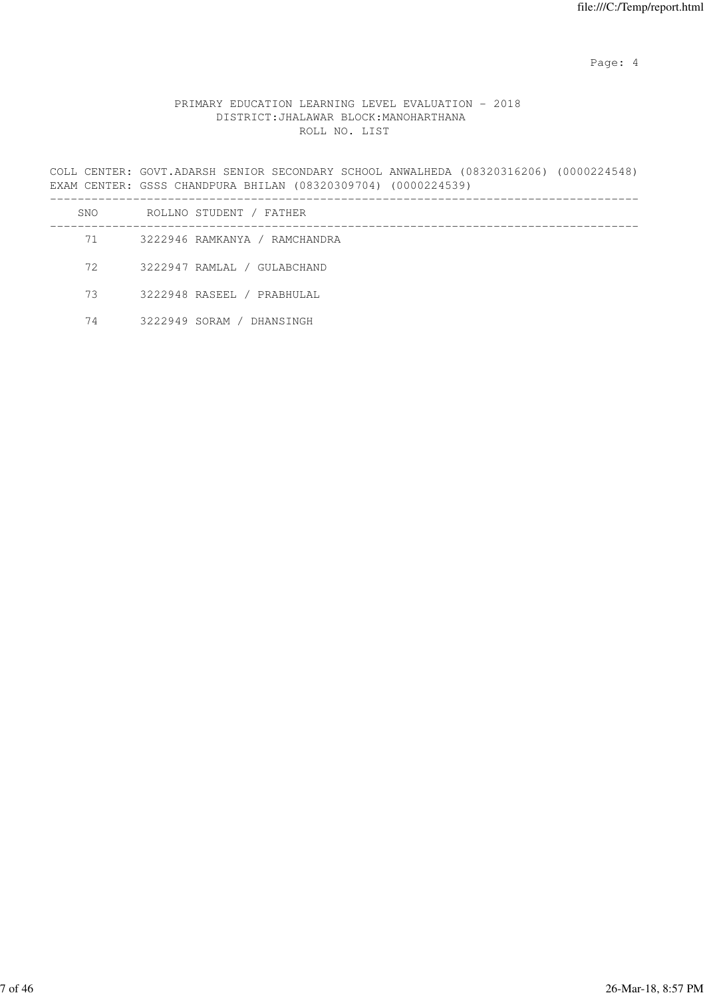Page: 4  $P$ 

# PRIMARY EDUCATION LEARNING LEVEL EVALUATION - 2018 DISTRICT:JHALAWAR BLOCK:MANOHARTHANA ROLL NO. LIST

COLL CENTER: GOVT.ADARSH SENIOR SECONDARY SCHOOL ANWALHEDA (08320316206) (0000224548) EXAM CENTER: GSSS CHANDPURA BHILAN (08320309704) (0000224539)

| SNO | ROLLNO STUDENT / FATHER       |
|-----|-------------------------------|
| 71  | 3222946 RAMKANYA / RAMCHANDRA |
| 72  | 3222947 RAMLAL / GULABCHAND   |
| 73  | 3222948 RASEEL / PRABHULAL    |
| 74  | 3222949 SORAM / DHANSINGH     |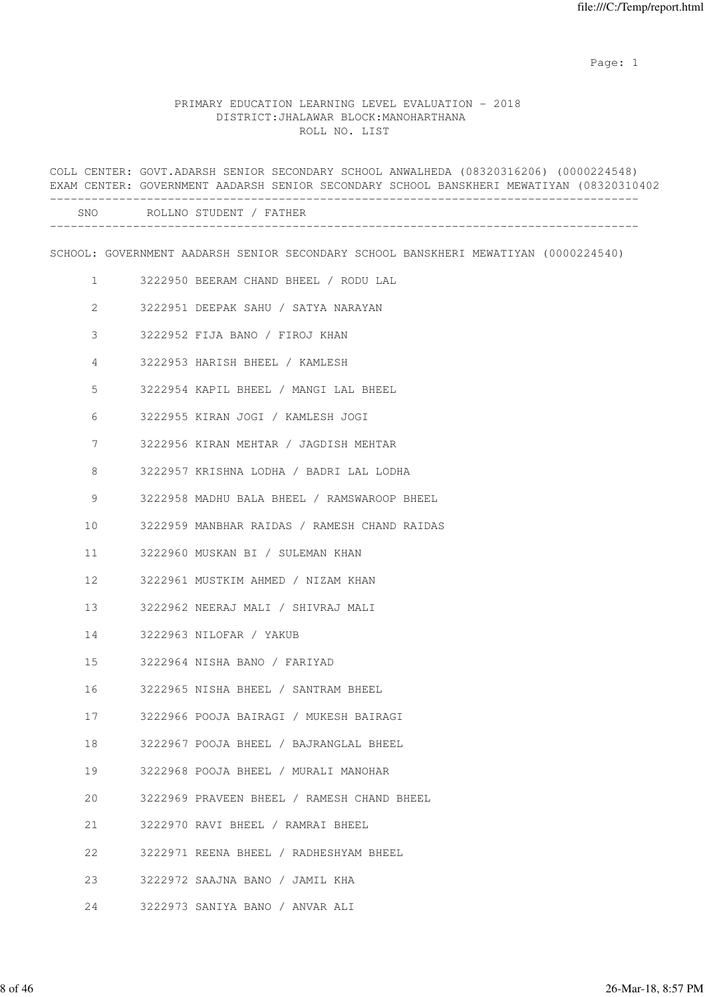# PRIMARY EDUCATION LEARNING LEVEL EVALUATION - 2018 DISTRICT:JHALAWAR BLOCK:MANOHARTHANA ROLL NO. LIST

|                 | COLL CENTER: GOVT.ADARSH SENIOR SECONDARY SCHOOL ANWALHEDA (08320316206) (0000224548)<br>EXAM CENTER: GOVERNMENT AADARSH SENIOR SECONDARY SCHOOL BANSKHERI MEWATIYAN (08320310402 |
|-----------------|-----------------------------------------------------------------------------------------------------------------------------------------------------------------------------------|
|                 | SNO ROLLNO STUDENT / FATHER                                                                                                                                                       |
|                 | SCHOOL: GOVERNMENT AADARSH SENIOR SECONDARY SCHOOL BANSKHERI MEWATIYAN (0000224540)                                                                                               |
| $\mathbf{1}$    | 3222950 BEERAM CHAND BHEEL / RODU LAL                                                                                                                                             |
| $\mathbf{2}$    | 3222951 DEEPAK SAHU / SATYA NARAYAN                                                                                                                                               |
| 3               | 3222952 FIJA BANO / FIROJ KHAN                                                                                                                                                    |
| 4               | 3222953 HARISH BHEEL / KAMLESH                                                                                                                                                    |
| 5               | 3222954 KAPIL BHEEL / MANGI LAL BHEEL                                                                                                                                             |
| 6               | 3222955 KIRAN JOGI / KAMLESH JOGI                                                                                                                                                 |
| $7\phantom{.0}$ | 3222956 KIRAN MEHTAR / JAGDISH MEHTAR                                                                                                                                             |
| 8               | 3222957 KRISHNA LODHA / BADRI LAL LODHA                                                                                                                                           |
| 9               | 3222958 MADHU BALA BHEEL / RAMSWAROOP BHEEL                                                                                                                                       |
| 10              | 3222959 MANBHAR RAIDAS / RAMESH CHAND RAIDAS                                                                                                                                      |
| 11              | 3222960 MUSKAN BI / SULEMAN KHAN                                                                                                                                                  |
| 12              | 3222961 MUSTKIM AHMED / NIZAM KHAN                                                                                                                                                |
| 13              | 3222962 NEERAJ MALI / SHIVRAJ MALI                                                                                                                                                |
| 14              | 3222963 NILOFAR / YAKUB                                                                                                                                                           |
| 15              | 3222964 NISHA BANO / FARIYAD                                                                                                                                                      |
| 16              | 3222965 NISHA BHEEL / SANTRAM BHEEL                                                                                                                                               |
| 17              | 3222966 POOJA BAIRAGI / MUKESH BAIRAGI                                                                                                                                            |
| 18              | 3222967 POOJA BHEEL / BAJRANGLAL BHEEL                                                                                                                                            |
| 19              | 3222968 POOJA BHEEL / MURALI MANOHAR                                                                                                                                              |
| 20              | 3222969 PRAVEEN BHEEL / RAMESH CHAND BHEEL                                                                                                                                        |
| 21              | 3222970 RAVI BHEEL / RAMRAI BHEEL                                                                                                                                                 |
| 22              | 3222971 REENA BHEEL / RADHESHYAM BHEEL                                                                                                                                            |
| 23              | 3222972 SAAJNA BANO / JAMIL KHA                                                                                                                                                   |
| 24              | 3222973 SANIYA BANO / ANVAR ALI                                                                                                                                                   |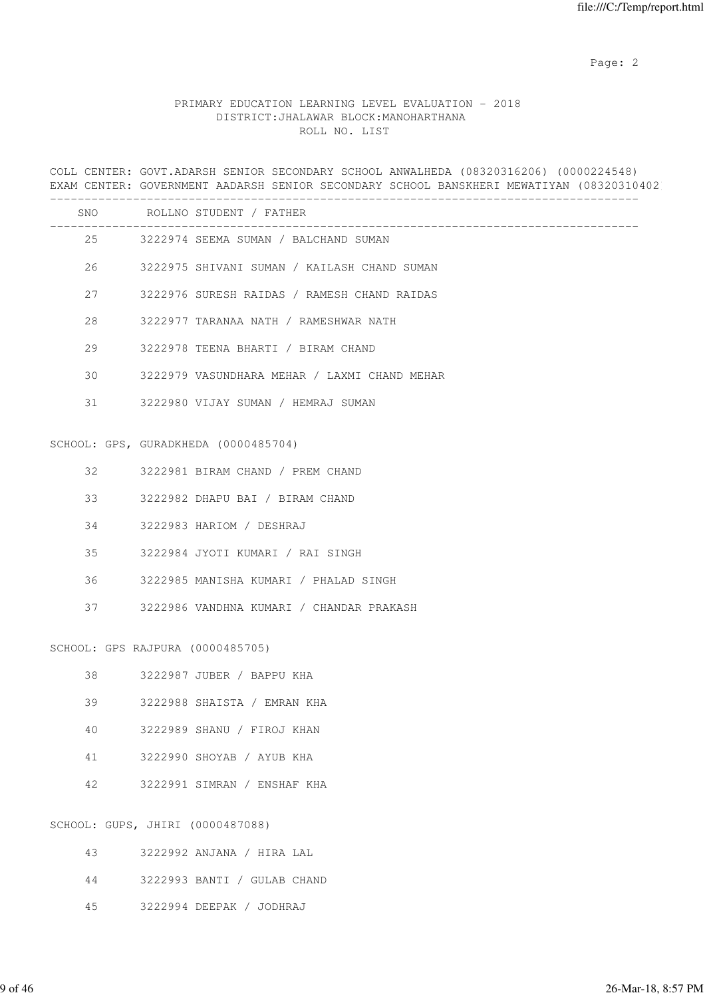# PRIMARY EDUCATION LEARNING LEVEL EVALUATION - 2018 DISTRICT:JHALAWAR BLOCK:MANOHARTHANA ROLL NO. LIST

COLL CENTER: GOVT.ADARSH SENIOR SECONDARY SCHOOL ANWALHEDA (08320316206) (0000224548) EXAM CENTER: GOVERNMENT AADARSH SENIOR SECONDARY SCHOOL BANSKHERI MEWATIYAN (08320310402

|    |                                  | SNO ROLLNO STUDENT / FATHER                    |
|----|----------------------------------|------------------------------------------------|
|    |                                  | 25 3222974 SEEMA SUMAN / BALCHAND SUMAN        |
|    |                                  | 26 3222975 SHIVANI SUMAN / KAILASH CHAND SUMAN |
|    |                                  | 27 3222976 SURESH RAIDAS / RAMESH CHAND RAIDAS |
| 28 |                                  | 3222977 TARANAA NATH / RAMESHWAR NATH          |
| 29 |                                  | 3222978 TEENA BHARTI / BIRAM CHAND             |
| 30 |                                  | 3222979 VASUNDHARA MEHAR / LAXMI CHAND MEHAR   |
|    |                                  | 31 3222980 VIJAY SUMAN / HEMRAJ SUMAN          |
|    |                                  | SCHOOL: GPS, GURADKHEDA (0000485704)           |
|    |                                  | 32 3222981 BIRAM CHAND / PREM CHAND            |
|    |                                  | 33 3222982 DHAPU BAI / BIRAM CHAND             |
|    |                                  | 34 3222983 HARIOM / DESHRAJ                    |
| 35 |                                  | 3222984 JYOTI KUMARI / RAI SINGH               |
|    |                                  | 36 3222985 MANISHA KUMARI / PHALAD SINGH       |
|    |                                  | 37 3222986 VANDHNA KUMARI / CHANDAR PRAKASH    |
|    | SCHOOL: GPS RAJPURA (0000485705) |                                                |
|    |                                  | 38 3222987 JUBER / BAPPU KHA                   |
| 39 |                                  | 3222988 SHAISTA / EMRAN KHA                    |
| 40 |                                  | 3222989 SHANU / FIROJ KHAN                     |
| 41 |                                  | 3222990 SHOYAB / AYUB KHA                      |
| 42 |                                  | 3222991 SIMRAN / ENSHAF KHA                    |
|    | SCHOOL: GUPS, JHIRI (0000487088) |                                                |
| 43 |                                  | 3222992 ANJANA / HIRA LAL                      |
| 44 |                                  | 3222993 BANTI / GULAB CHAND                    |

45 3222994 DEEPAK / JODHRAJ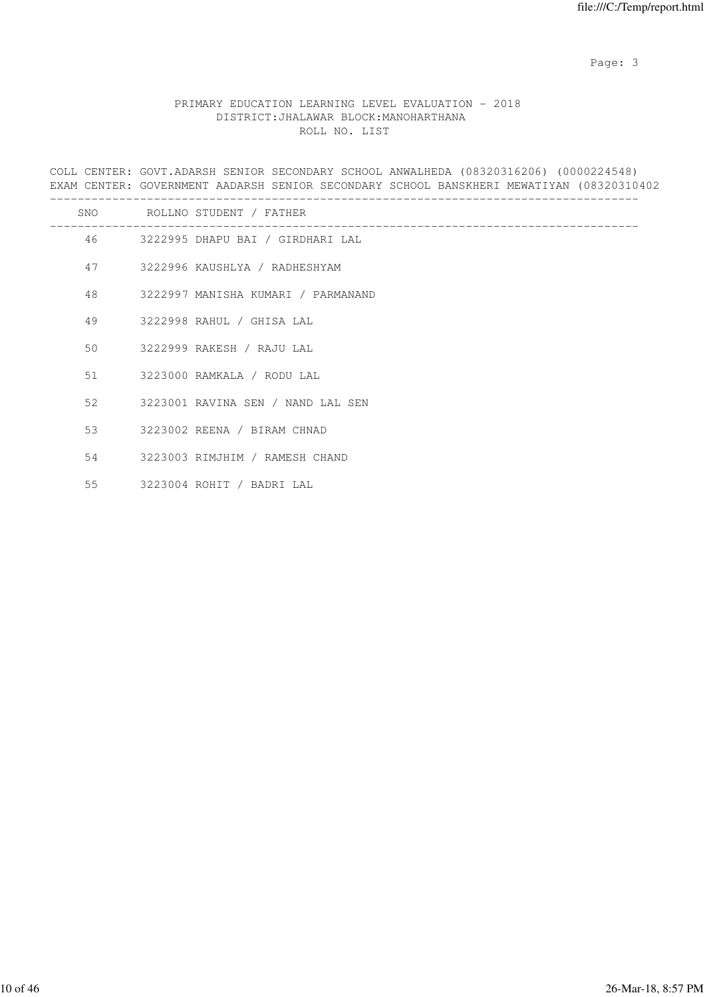Page: 3

# PRIMARY EDUCATION LEARNING LEVEL EVALUATION - 2018 DISTRICT:JHALAWAR BLOCK:MANOHARTHANA ROLL NO. LIST

COLL CENTER: GOVT.ADARSH SENIOR SECONDARY SCHOOL ANWALHEDA (08320316206) (0000224548) EXAM CENTER: GOVERNMENT AADARSH SENIOR SECONDARY SCHOOL BANSKHERI MEWATIYAN (08320310402

|    | SNO ROLLNO STUDENT / FATHER           |
|----|---------------------------------------|
|    | 46 3222995 DHAPU BAI / GIRDHARI LAL   |
|    | 47 3222996 KAUSHLYA / RADHESHYAM      |
|    | 48 3222997 MANISHA KUMARI / PARMANAND |
|    | 49 3222998 RAHUL / GHISA LAL          |
|    | 50 3222999 RAKESH / RAJU LAL          |
|    | 51 3223000 RAMKALA / RODU LAL         |
| 52 | 3223001 RAVINA SEN / NAND LAL SEN     |
|    | 53 3223002 REENA / BIRAM CHNAD        |
| 54 | 3223003 RIMJHIM / RAMESH CHAND        |
| 55 | 3223004 ROHIT / BADRI LAL             |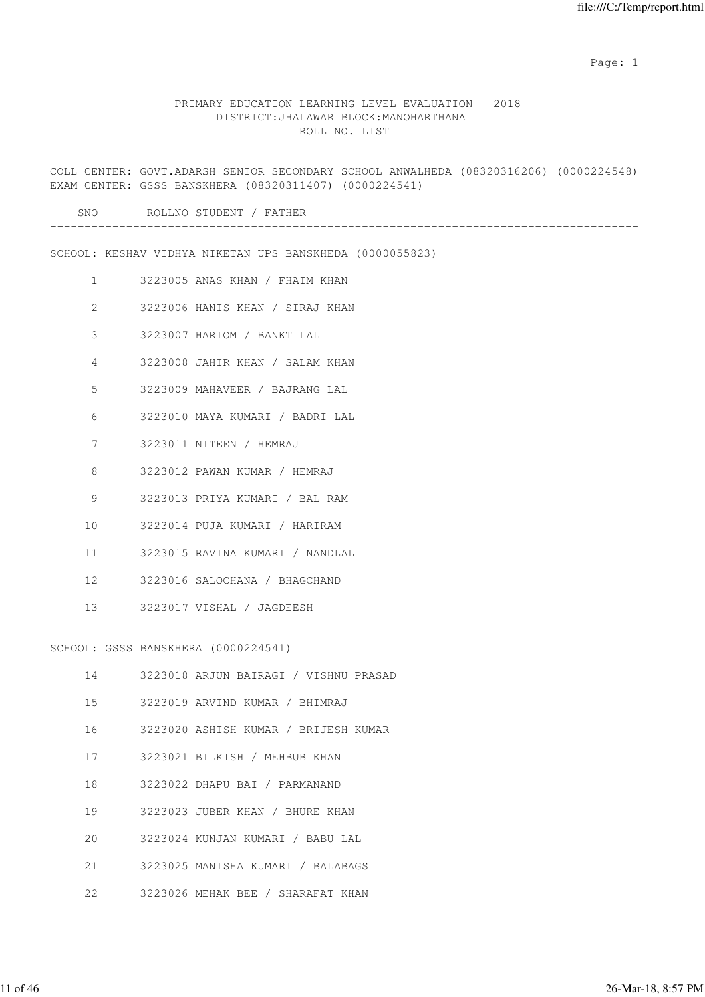### PRIMARY EDUCATION LEARNING LEVEL EVALUATION - 2018 DISTRICT:JHALAWAR BLOCK:MANOHARTHANA ROLL NO. LIST

COLL CENTER: GOVT.ADARSH SENIOR SECONDARY SCHOOL ANWALHEDA (08320316206) (0000224548) EXAM CENTER: GSSS BANSKHERA (08320311407) (0000224541) ------------------------------------------------------------------------------------- SNO ROLLNO STUDENT / FATHER ------------------------------------------------------------------------------------- SCHOOL: KESHAV VIDHYA NIKETAN UPS BANSKHEDA (0000055823) 1 3223005 ANAS KHAN / FHAIM KHAN 2 3223006 HANIS KHAN / SIRAJ KHAN 3 3223007 HARIOM / BANKT LAL 4 3223008 JAHIR KHAN / SALAM KHAN 5 3223009 MAHAVEER / BAJRANG LAL 6 3223010 MAYA KUMARI / BADRI LAL 7 3223011 NITEEN / HEMRAJ 8 3223012 PAWAN KUMAR / HEMRAJ 9 3223013 PRIYA KUMARI / BAL RAM 10 3223014 PUJA KUMARI / HARIRAM 11 3223015 RAVINA KUMARI / NANDLAL 12 3223016 SALOCHANA / BHAGCHAND 13 3223017 VISHAL / JAGDEESH SCHOOL: GSSS BANSKHERA (0000224541) 14 3223018 ARJUN BAIRAGI / VISHNU PRASAD 15 3223019 ARVIND KUMAR / BHIMRAJ 16 3223020 ASHISH KUMAR / BRIJESH KUMAR 17 3223021 BILKISH / MEHBUB KHAN 18 3223022 DHAPU BAI / PARMANAND 19 3223023 JUBER KHAN / BHURE KHAN 20 3223024 KUNJAN KUMARI / BABU LAL

- 21 3223025 MANISHA KUMARI / BALABAGS
- 22 3223026 MEHAK BEE / SHARAFAT KHAN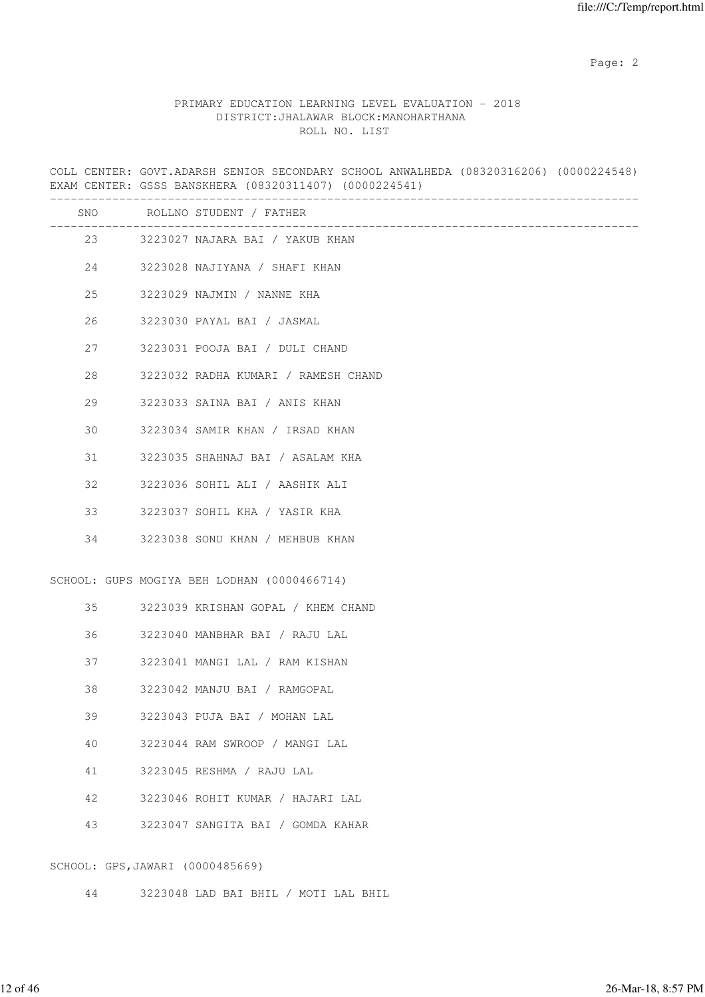# PRIMARY EDUCATION LEARNING LEVEL EVALUATION - 2018 DISTRICT:JHALAWAR BLOCK:MANOHARTHANA ROLL NO. LIST

COLL CENTER: GOVT.ADARSH SENIOR SECONDARY SCHOOL ANWALHEDA (08320316206) (0000224548) EXAM CENTER: GSSS BANSKHERA (08320311407) (0000224541)

|    |                                  | SNO ROLLNO STUDENT / FATHER                 |
|----|----------------------------------|---------------------------------------------|
|    | 23 and $\sim$                    | 3223027 NAJARA BAI / YAKUB KHAN             |
|    |                                  | 24 3223028 NAJIYANA / SHAFI KHAN            |
| 25 |                                  | 3223029 NAJMIN / NANNE KHA                  |
| 26 |                                  | 3223030 PAYAL BAI / JASMAL                  |
| 27 |                                  | 3223031 POOJA BAI / DULI CHAND              |
| 28 |                                  | 3223032 RADHA KUMARI / RAMESH CHAND         |
| 29 |                                  | 3223033 SAINA BAI / ANIS KHAN               |
| 30 |                                  | 3223034 SAMIR KHAN / IRSAD KHAN             |
| 31 |                                  | 3223035 SHAHNAJ BAI / ASALAM KHA            |
| 32 |                                  | 3223036 SOHIL ALI / AASHIK ALI              |
| 33 |                                  | 3223037 SOHIL KHA / YASIR KHA               |
| 34 |                                  | 3223038 SONU KHAN / MEHBUB KHAN             |
|    |                                  | SCHOOL: GUPS MOGIYA BEH LODHAN (0000466714) |
|    |                                  | 35 3223039 KRISHAN GOPAL / KHEM CHAND       |
| 36 |                                  | 3223040 MANBHAR BAI / RAJU LAL              |
| 37 |                                  | 3223041 MANGI LAL / RAM KISHAN              |
| 38 |                                  | 3223042 MANJU BAI / RAMGOPAL                |
| 39 |                                  | 3223043 PUJA BAI / MOHAN LAL                |
| 40 |                                  | 3223044 RAM SWROOP / MANGI LAL              |
| 41 |                                  | 3223045 RESHMA / RAJU LAL                   |
| 42 |                                  | 3223046 ROHIT KUMAR / HAJARI LAL            |
| 43 |                                  | 3223047 SANGITA BAI / GOMDA KAHAR           |
|    | SCHOOL: GPS, JAWARI (0000485669) |                                             |

44 3223048 LAD BAI BHIL / MOTI LAL BHIL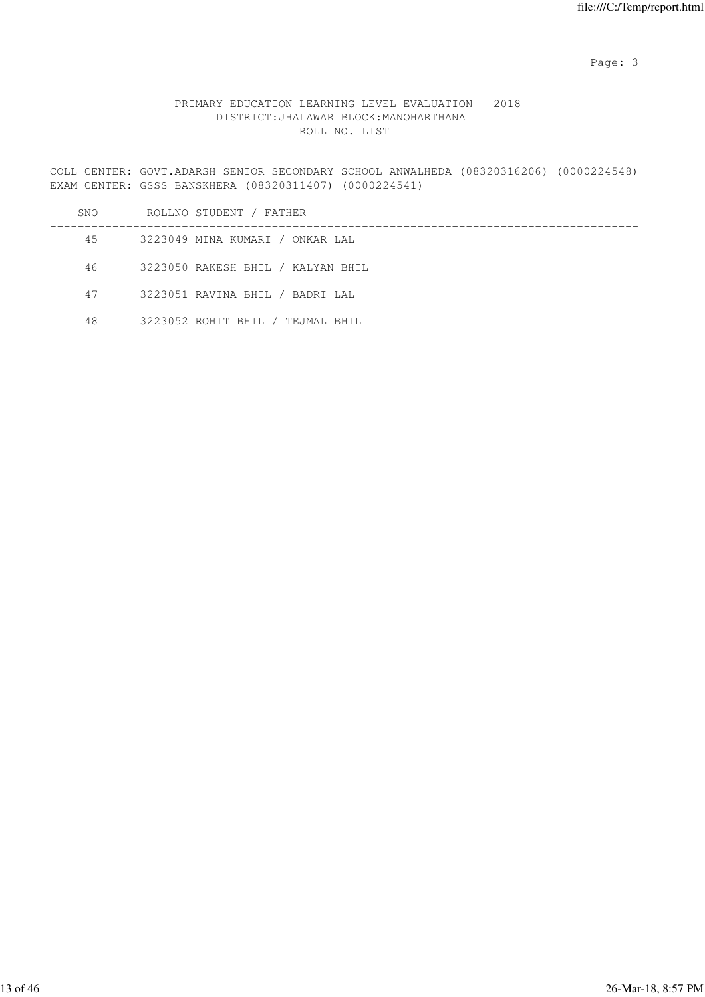Page: 3

# PRIMARY EDUCATION LEARNING LEVEL EVALUATION - 2018 DISTRICT:JHALAWAR BLOCK:MANOHARTHANA ROLL NO. LIST

COLL CENTER: GOVT.ADARSH SENIOR SECONDARY SCHOOL ANWALHEDA (08320316206) (0000224548) EXAM CENTER: GSSS BANSKHERA (08320311407) (0000224541) -------------------------------------------------------------------------------------

| SNO | ROLLNO STUDENT / FATHER           |  |
|-----|-----------------------------------|--|
| 45  | 3223049 MINA KUMARI / ONKAR LAL   |  |
| 46  | 3223050 RAKESH BHIL / KALYAN BHIL |  |
| 47  | 3223051 RAVINA BHIL / BADRI LAL   |  |
| 48  | 3223052 ROHIT BHIL / TEJMAL BHIL  |  |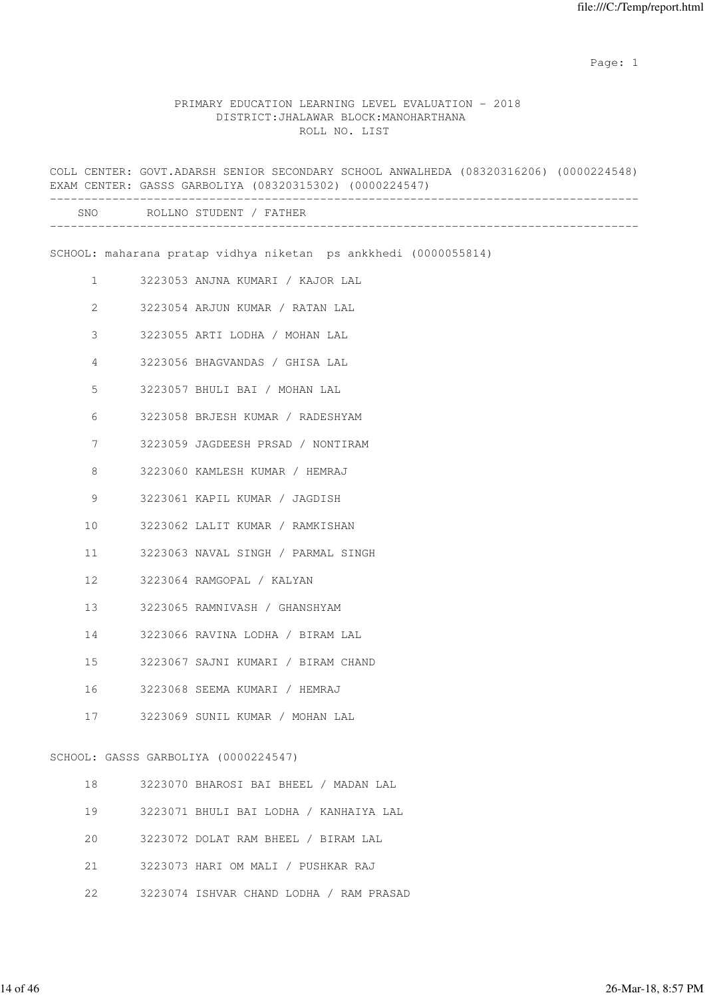#### PRIMARY EDUCATION LEARNING LEVEL EVALUATION - 2018 DISTRICT:JHALAWAR BLOCK:MANOHARTHANA ROLL NO. LIST

COLL CENTER: GOVT.ADARSH SENIOR SECONDARY SCHOOL ANWALHEDA (08320316206) (0000224548) EXAM CENTER: GASSS GARBOLIYA (08320315302) (0000224547) ------------------------------------------------------------------------------------- SNO ROLLNO STUDENT / FATHER ------------------------------------------------------------------------------------- SCHOOL: maharana pratap vidhya niketan ps ankkhedi (0000055814) 1 3223053 ANJNA KUMARI / KAJOR LAL 2 3223054 ARJUN KUMAR / RATAN LAL 3 3223055 ARTI LODHA / MOHAN LAL 4 3223056 BHAGVANDAS / GHISA LAL 5 3223057 BHULI BAI / MOHAN LAL 6 3223058 BRJESH KUMAR / RADESHYAM 7 3223059 JAGDEESH PRSAD / NONTIRAM 8 3223060 KAMLESH KUMAR / HEMRAJ 9 3223061 KAPIL KUMAR / JAGDISH 10 3223062 LALIT KUMAR / RAMKISHAN 11 3223063 NAVAL SINGH / PARMAL SINGH 12 3223064 RAMGOPAL / KALYAN 13 3223065 RAMNIVASH / GHANSHYAM 14 3223066 RAVINA LODHA / BIRAM LAL 15 3223067 SAJNI KUMARI / BIRAM CHAND 16 3223068 SEEMA KUMARI / HEMRAJ 17 3223069 SUNIL KUMAR / MOHAN LAL SCHOOL: GASSS GARBOLIYA (0000224547) 18 3223070 BHAROSI BAI BHEEL / MADAN LAL 19 3223071 BHULI BAI LODHA / KANHAIYA LAL 20 3223072 DOLAT RAM BHEEL / BIRAM LAL

- 21 3223073 HARI OM MALI / PUSHKAR RAJ
- 22 3223074 ISHVAR CHAND LODHA / RAM PRASAD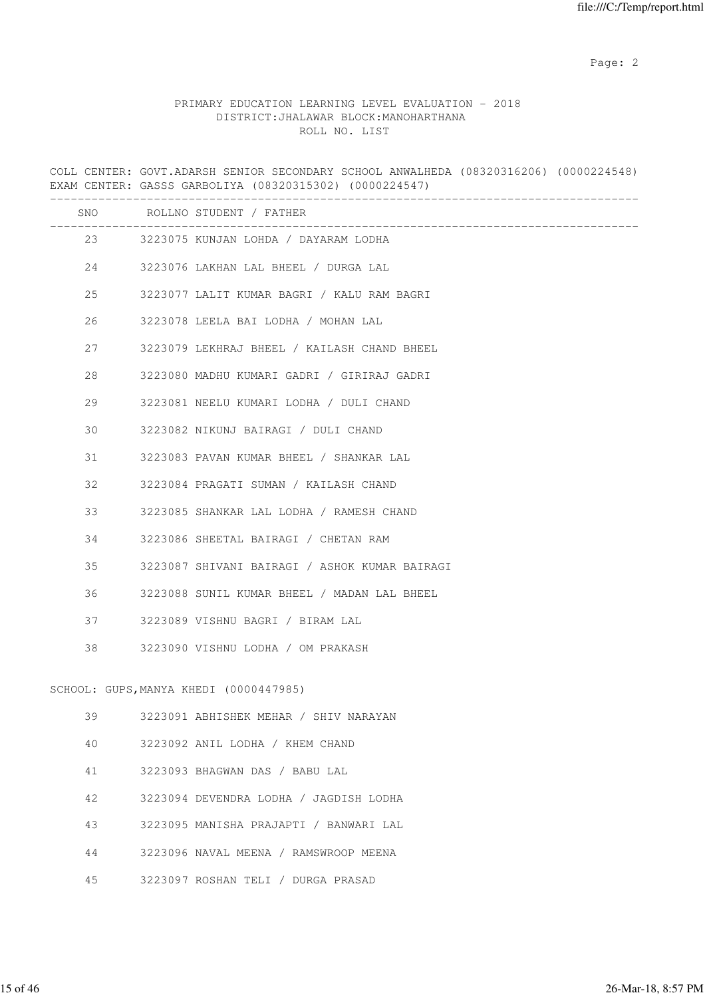### PRIMARY EDUCATION LEARNING LEVEL EVALUATION - 2018 DISTRICT:JHALAWAR BLOCK:MANOHARTHANA ROLL NO. LIST

COLL CENTER: GOVT.ADARSH SENIOR SECONDARY SCHOOL ANWALHEDA (08320316206) (0000224548)

EXAM CENTER: GASSS GARBOLIYA (08320315302) (0000224547) ------------------------------------------------------------------------------------- SNO ROLLNO STUDENT / FATHER ------------------------------------------------------------------------------------- 23 3223075 KUNJAN LOHDA / DAYARAM LODHA 24 3223076 LAKHAN LAL BHEEL / DURGA LAL 25 3223077 LALIT KUMAR BAGRI / KALU RAM BAGRI 26 3223078 LEELA BAI LODHA / MOHAN LAL 27 3223079 LEKHRAJ BHEEL / KAILASH CHAND BHEEL 28 3223080 MADHU KUMARI GADRI / GIRIRAJ GADRI 29 3223081 NEELU KUMARI LODHA / DULI CHAND 30 3223082 NIKUNJ BAIRAGI / DULI CHAND 31 3223083 PAVAN KUMAR BHEEL / SHANKAR LAL 32 3223084 PRAGATI SUMAN / KAILASH CHAND 33 3223085 SHANKAR LAL LODHA / RAMESH CHAND 34 3223086 SHEETAL BAIRAGI / CHETAN RAM 35 3223087 SHIVANI BAIRAGI / ASHOK KUMAR BAIRAGI 36 3223088 SUNIL KUMAR BHEEL / MADAN LAL BHEEL 37 3223089 VISHNU BAGRI / BIRAM LAL 38 3223090 VISHNU LODHA / OM PRAKASH SCHOOL: GUPS,MANYA KHEDI (0000447985) 39 3223091 ABHISHEK MEHAR / SHIV NARAYAN 40 3223092 ANIL LODHA / KHEM CHAND

- 41 3223093 BHAGWAN DAS / BABU LAL
- 42 3223094 DEVENDRA LODHA / JAGDISH LODHA
- 43 3223095 MANISHA PRAJAPTI / BANWARI LAL
- 44 3223096 NAVAL MEENA / RAMSWROOP MEENA
- 45 3223097 ROSHAN TELI / DURGA PRASAD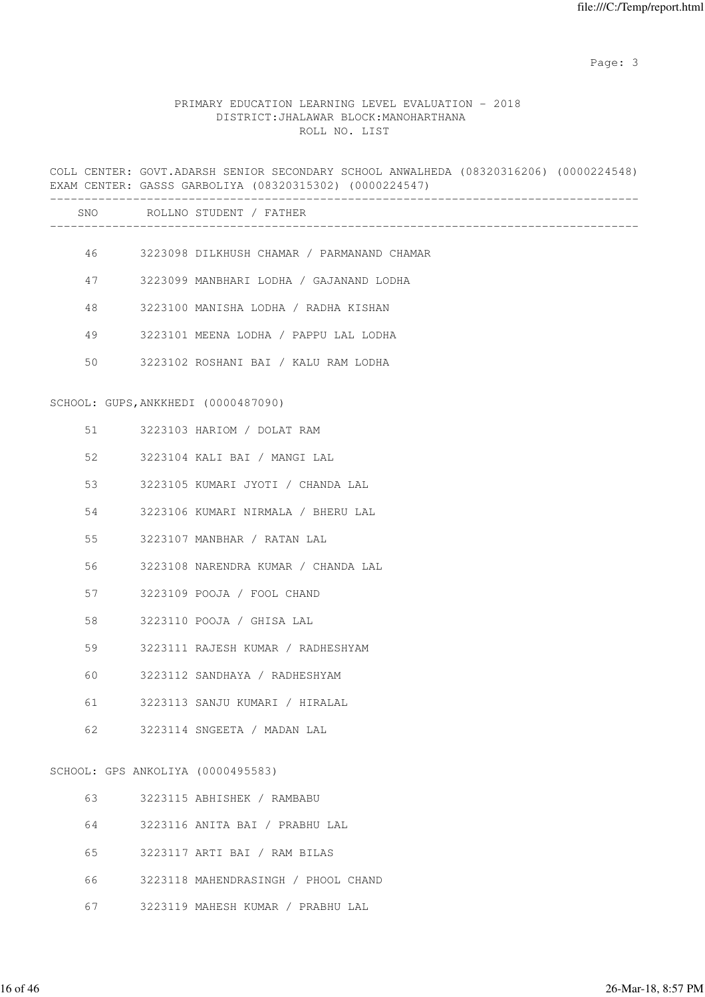Page: 3

# PRIMARY EDUCATION LEARNING LEVEL EVALUATION - 2018 DISTRICT:JHALAWAR BLOCK:MANOHARTHANA ROLL NO. LIST

|    | COLL CENTER: GOVT.ADARSH SENIOR SECONDARY SCHOOL ANWALHEDA (08320316206) (0000224548)<br>EXAM CENTER: GASSS GARBOLIYA (08320315302) (0000224547) |  |
|----|--------------------------------------------------------------------------------------------------------------------------------------------------|--|
|    | SNO ROLLNO STUDENT / FATHER                                                                                                                      |  |
|    | 46 3223098 DILKHUSH CHAMAR / PARMANAND CHAMAR                                                                                                    |  |
| 47 | 3223099 MANBHARI LODHA / GAJANAND LODHA                                                                                                          |  |
| 48 | 3223100 MANISHA LODHA / RADHA KISHAN                                                                                                             |  |
| 49 | 3223101 MEENA LODHA / PAPPU LAL LODHA                                                                                                            |  |
| 50 | 3223102 ROSHANI BAI / KALU RAM LODHA                                                                                                             |  |
|    | SCHOOL: GUPS, ANKKHEDI (0000487090)                                                                                                              |  |
| 51 | 3223103 HARIOM / DOLAT RAM                                                                                                                       |  |
| 52 | 3223104 KALI BAI / MANGI LAL                                                                                                                     |  |
| 53 | 3223105 KUMARI JYOTI / CHANDA LAL                                                                                                                |  |
| 54 | 3223106 KUMARI NIRMALA / BHERU LAL                                                                                                               |  |
| 55 | 3223107 MANBHAR / RATAN LAL                                                                                                                      |  |
| 56 | 3223108 NARENDRA KUMAR / CHANDA LAL                                                                                                              |  |
| 57 | 3223109 POOJA / FOOL CHAND                                                                                                                       |  |
| 58 | 3223110 POOJA / GHISA LAL                                                                                                                        |  |
| 59 | 3223111 RAJESH KUMAR / RADHESHYAM                                                                                                                |  |
| 60 | 3223112 SANDHAYA / RADHESHYAM                                                                                                                    |  |
| 61 | 3223113 SANJU KUMARI / HIRALAL                                                                                                                   |  |
| 62 | 3223114 SNGEETA / MADAN LAL                                                                                                                      |  |
|    | SCHOOL: GPS ANKOLIYA (0000495583)                                                                                                                |  |
| 63 | 3223115 ABHISHEK / RAMBABU                                                                                                                       |  |
| 64 | 3223116 ANITA BAI / PRABHU LAL                                                                                                                   |  |
| 65 | 3223117 ARTI BAI / RAM BILAS                                                                                                                     |  |
|    |                                                                                                                                                  |  |

66 3223118 MAHENDRASINGH / PHOOL CHAND

67 3223119 MAHESH KUMAR / PRABHU LAL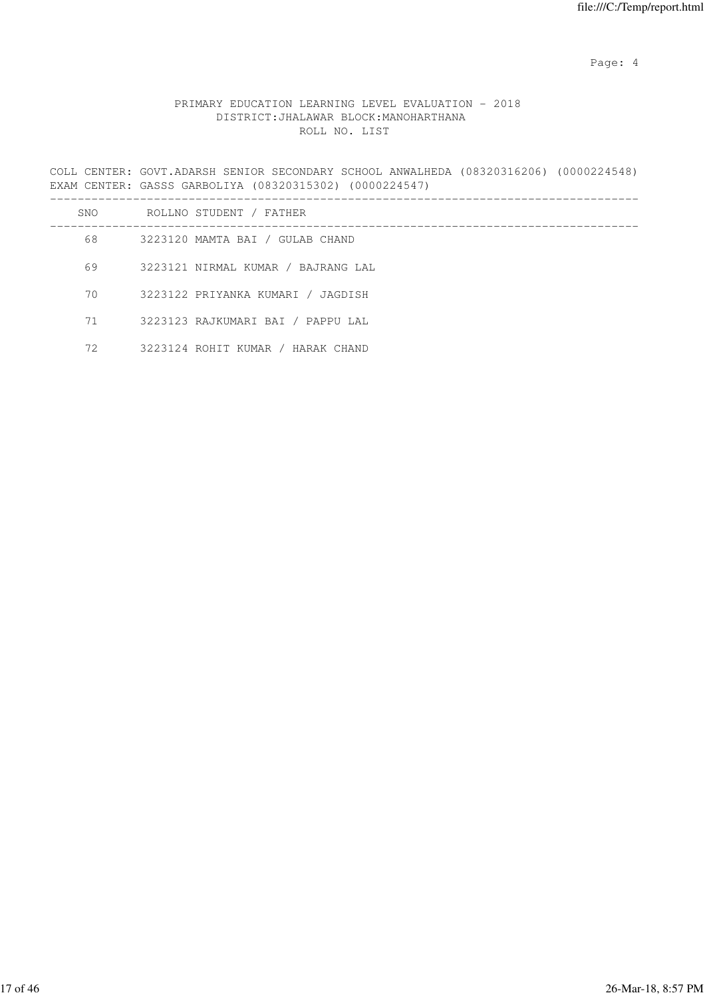Page: 4  $P$ 

# PRIMARY EDUCATION LEARNING LEVEL EVALUATION - 2018 DISTRICT:JHALAWAR BLOCK:MANOHARTHANA ROLL NO. LIST

COLL CENTER: GOVT.ADARSH SENIOR SECONDARY SCHOOL ANWALHEDA (08320316206) (0000224548) EXAM CENTER: GASSS GARBOLIYA (08320315302) (0000224547)

| SNO | ROLLNO STUDENT / FATHER            |
|-----|------------------------------------|
| 68  | 3223120 MAMTA BAI / GULAB CHAND    |
| 69  | 3223121 NIRMAL KUMAR / BAJRANG LAL |
| 70  | 3223122 PRIYANKA KUMARI / JAGDISH  |
| 71  | 3223123 RAJKUMARI BAI / PAPPU LAL  |
| 72  | 3223124 ROHIT KUMAR / HARAK CHAND  |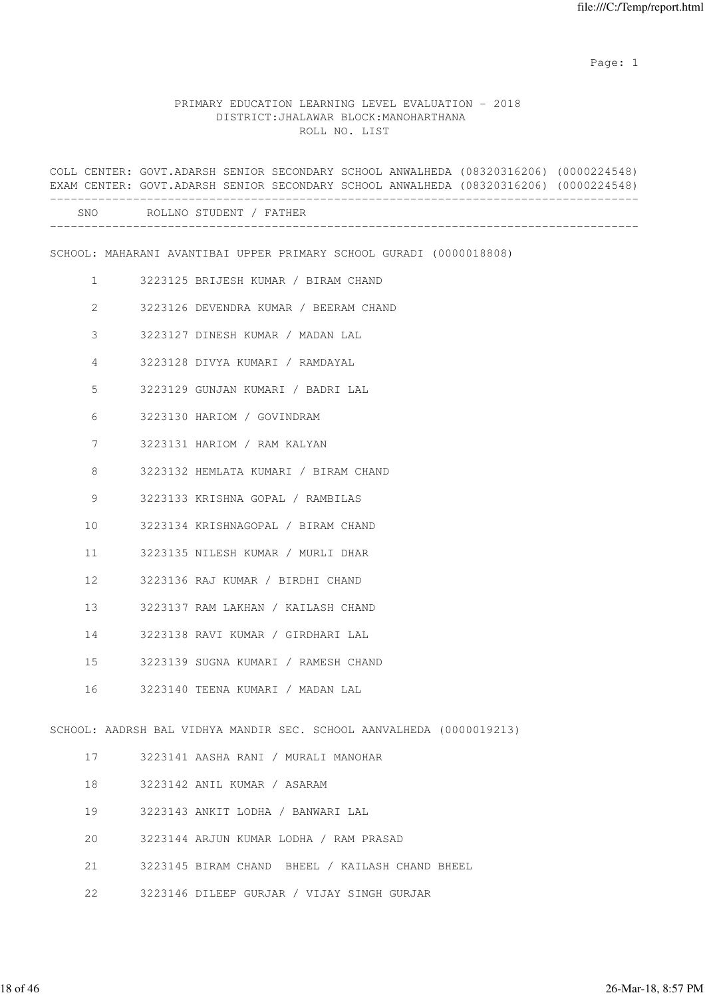### PRIMARY EDUCATION LEARNING LEVEL EVALUATION - 2018 DISTRICT:JHALAWAR BLOCK:MANOHARTHANA ROLL NO. LIST

|                 | COLL CENTER: GOVT.ADARSH SENIOR SECONDARY SCHOOL ANWALHEDA (08320316206) (0000224548)<br>EXAM CENTER: GOVT.ADARSH SENIOR SECONDARY SCHOOL ANWALHEDA (08320316206) (0000224548) |
|-----------------|--------------------------------------------------------------------------------------------------------------------------------------------------------------------------------|
|                 | SNO ROLLNO STUDENT / FATHER                                                                                                                                                    |
|                 | SCHOOL: MAHARANI AVANTIBAI UPPER PRIMARY SCHOOL GURADI (0000018808)                                                                                                            |
| $\mathbf{1}$    | 3223125 BRIJESH KUMAR / BIRAM CHAND                                                                                                                                            |
| 2               | 3223126 DEVENDRA KUMAR / BEERAM CHAND                                                                                                                                          |
| 3               | 3223127 DINESH KUMAR / MADAN LAL                                                                                                                                               |
| 4               | 3223128 DIVYA KUMARI / RAMDAYAL                                                                                                                                                |
| 5               | 3223129 GUNJAN KUMARI / BADRI LAL                                                                                                                                              |
| 6               | 3223130 HARIOM / GOVINDRAM                                                                                                                                                     |
| 7               | 3223131 HARIOM / RAM KALYAN                                                                                                                                                    |
| 8               | 3223132 HEMLATA KUMARI / BIRAM CHAND                                                                                                                                           |
| 9               | 3223133 KRISHNA GOPAL / RAMBILAS                                                                                                                                               |
| 10              | 3223134 KRISHNAGOPAL / BIRAM CHAND                                                                                                                                             |
| 11              | 3223135 NILESH KUMAR / MURLI DHAR                                                                                                                                              |
| 12 <sup>°</sup> | 3223136 RAJ KUMAR / BIRDHI CHAND                                                                                                                                               |
| 13              | 3223137 RAM LAKHAN / KAILASH CHAND                                                                                                                                             |
| 14              | 3223138 RAVI KUMAR / GIRDHARI LAL                                                                                                                                              |
| 15              | 3223139 SUGNA KUMARI / RAMESH CHAND                                                                                                                                            |
| 16              | 3223140 TEENA KUMARI / MADAN LAL                                                                                                                                               |
|                 | SCHOOL: AADRSH BAL VIDHYA MANDIR SEC. SCHOOL AANVALHEDA (0000019213)                                                                                                           |
| 17              | 3223141 AASHA RANI / MURALI MANOHAR                                                                                                                                            |
| 18              | 3223142 ANIL KUMAR / ASARAM                                                                                                                                                    |
| 19              | 3223143 ANKIT LODHA / BANWARI LAL                                                                                                                                              |

- 20 3223144 ARJUN KUMAR LODHA / RAM PRASAD
- 21 3223145 BIRAM CHAND BHEEL / KAILASH CHAND BHEEL
- 22 3223146 DILEEP GURJAR / VIJAY SINGH GURJAR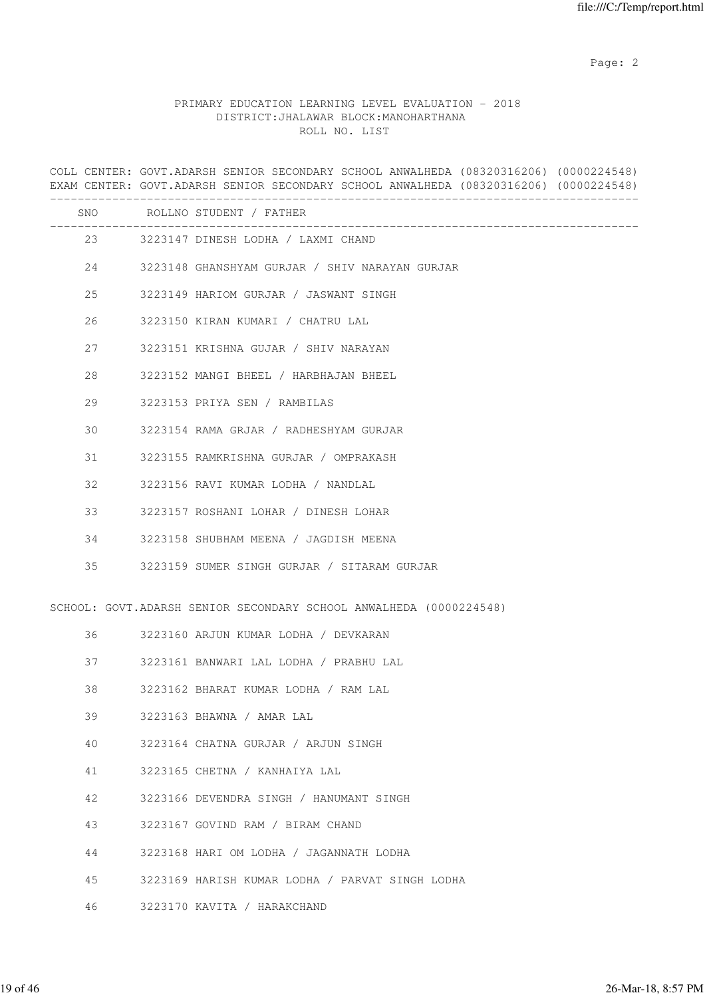### PRIMARY EDUCATION LEARNING LEVEL EVALUATION - 2018 DISTRICT:JHALAWAR BLOCK:MANOHARTHANA ROLL NO. LIST

COLL CENTER: GOVT.ADARSH SENIOR SECONDARY SCHOOL ANWALHEDA (08320316206) (0000224548) EXAM CENTER: GOVT.ADARSH SENIOR SECONDARY SCHOOL ANWALHEDA (08320316206) (0000224548) ------------------------------------------------------------------------------------- SNO ROLLNO STUDENT / FATHER ------------------------------------------------------------------------------------- 23 3223147 DINESH LODHA / LAXMI CHAND 24 3223148 GHANSHYAM GURJAR / SHIV NARAYAN GURJAR 25 3223149 HARIOM GURJAR / JASWANT SINGH 26 3223150 KIRAN KUMARI / CHATRU LAL 27 3223151 KRISHNA GUJAR / SHIV NARAYAN 28 3223152 MANGI BHEEL / HARBHAJAN BHEEL 29 3223153 PRIYA SEN / RAMBILAS 30 3223154 RAMA GRJAR / RADHESHYAM GURJAR 31 3223155 RAMKRISHNA GURJAR / OMPRAKASH 32 3223156 RAVI KUMAR LODHA / NANDLAL 33 3223157 ROSHANI LOHAR / DINESH LOHAR 34 3223158 SHUBHAM MEENA / JAGDISH MEENA 35 3223159 SUMER SINGH GURJAR / SITARAM GURJAR SCHOOL: GOVT.ADARSH SENIOR SECONDARY SCHOOL ANWALHEDA (0000224548) 36 3223160 ARJUN KUMAR LODHA / DEVKARAN 37 3223161 BANWARI LAL LODHA / PRABHU LAL 38 3223162 BHARAT KUMAR LODHA / RAM LAL 39 3223163 BHAWNA / AMAR LAL 40 3223164 CHATNA GURJAR / ARJUN SINGH 41 3223165 CHETNA / KANHAIYA LAL 42 3223166 DEVENDRA SINGH / HANUMANT SINGH 43 3223167 GOVIND RAM / BIRAM CHAND 44 3223168 HARI OM LODHA / JAGANNATH LODHA 45 3223169 HARISH KUMAR LODHA / PARVAT SINGH LODHA 46 3223170 KAVITA / HARAKCHAND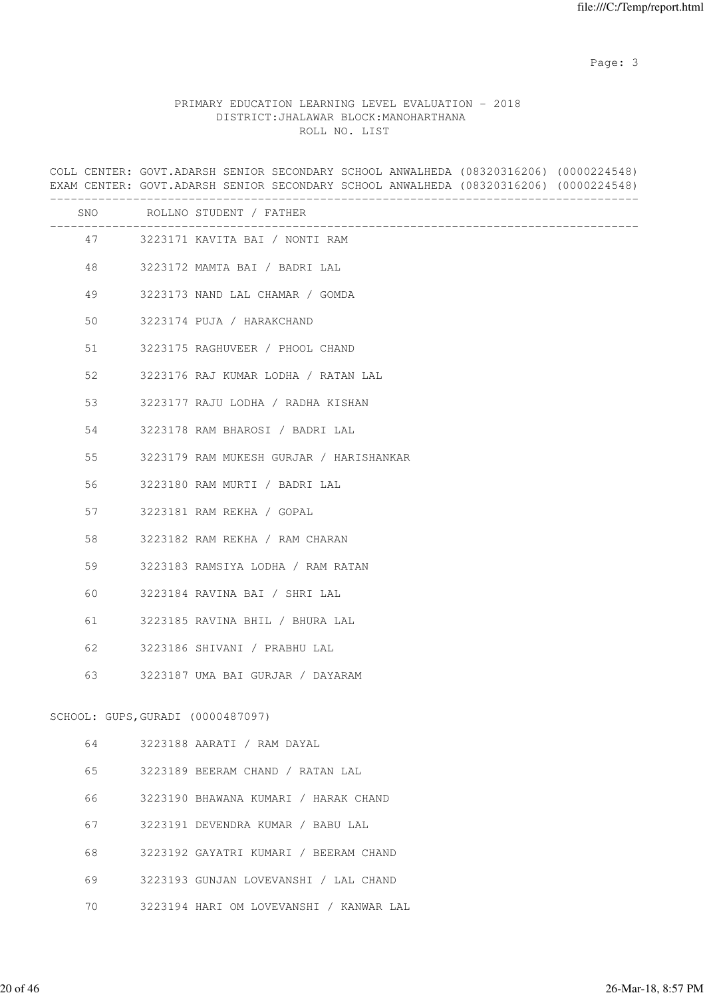Page: 3

# PRIMARY EDUCATION LEARNING LEVEL EVALUATION - 2018 DISTRICT:JHALAWAR BLOCK:MANOHARTHANA ROLL NO. LIST

|    | COLL CENTER: GOVT.ADARSH SENIOR SECONDARY SCHOOL ANWALHEDA (08320316206) (0000224548)<br>EXAM CENTER: GOVT.ADARSH SENIOR SECONDARY SCHOOL ANWALHEDA (08320316206) (0000224548) |
|----|--------------------------------------------------------------------------------------------------------------------------------------------------------------------------------|
|    | SNO ROLLNO STUDENT / FATHER                                                                                                                                                    |
|    | 47 3223171 KAVITA BAI / NONTI RAM                                                                                                                                              |
| 48 | 3223172 MAMTA BAI / BADRI LAL                                                                                                                                                  |
| 49 | 3223173 NAND LAL CHAMAR / GOMDA                                                                                                                                                |
| 50 | 3223174 PUJA / HARAKCHAND                                                                                                                                                      |
| 51 | 3223175 RAGHUVEER / PHOOL CHAND                                                                                                                                                |
| 52 | 3223176 RAJ KUMAR LODHA / RATAN LAL                                                                                                                                            |
| 53 | 3223177 RAJU LODHA / RADHA KISHAN                                                                                                                                              |
| 54 | 3223178 RAM BHAROSI / BADRI LAL                                                                                                                                                |
| 55 | 3223179 RAM MUKESH GURJAR / HARISHANKAR                                                                                                                                        |
| 56 | 3223180 RAM MURTI / BADRI LAL                                                                                                                                                  |
| 57 | 3223181 RAM REKHA / GOPAL                                                                                                                                                      |
| 58 | 3223182 RAM REKHA / RAM CHARAN                                                                                                                                                 |
| 59 | 3223183 RAMSIYA LODHA / RAM RATAN                                                                                                                                              |
| 60 | 3223184 RAVINA BAI / SHRI LAL                                                                                                                                                  |
| 61 | 3223185 RAVINA BHIL / BHURA LAL                                                                                                                                                |
| 62 | 3223186 SHIVANI / PRABHU LAL                                                                                                                                                   |
| 63 | 3223187 UMA BAI GURJAR / DAYARAM                                                                                                                                               |
|    | SCHOOL: GUPS, GURADI (0000487097)                                                                                                                                              |
| 64 | 3223188 AARATI / RAM DAYAL                                                                                                                                                     |
| 65 | 3223189 BEERAM CHAND / RATAN LAL                                                                                                                                               |
| 66 | 3223190 BHAWANA KUMARI / HARAK CHAND                                                                                                                                           |
| 67 | 3223191 DEVENDRA KUMAR / BABU LAL                                                                                                                                              |
| 68 | 3223192 GAYATRI KUMARI / BEERAM CHAND                                                                                                                                          |
| 69 | 3223193 GUNJAN LOVEVANSHI / LAL CHAND                                                                                                                                          |
| 70 | 3223194 HARI OM LOVEVANSHI / KANWAR LAL                                                                                                                                        |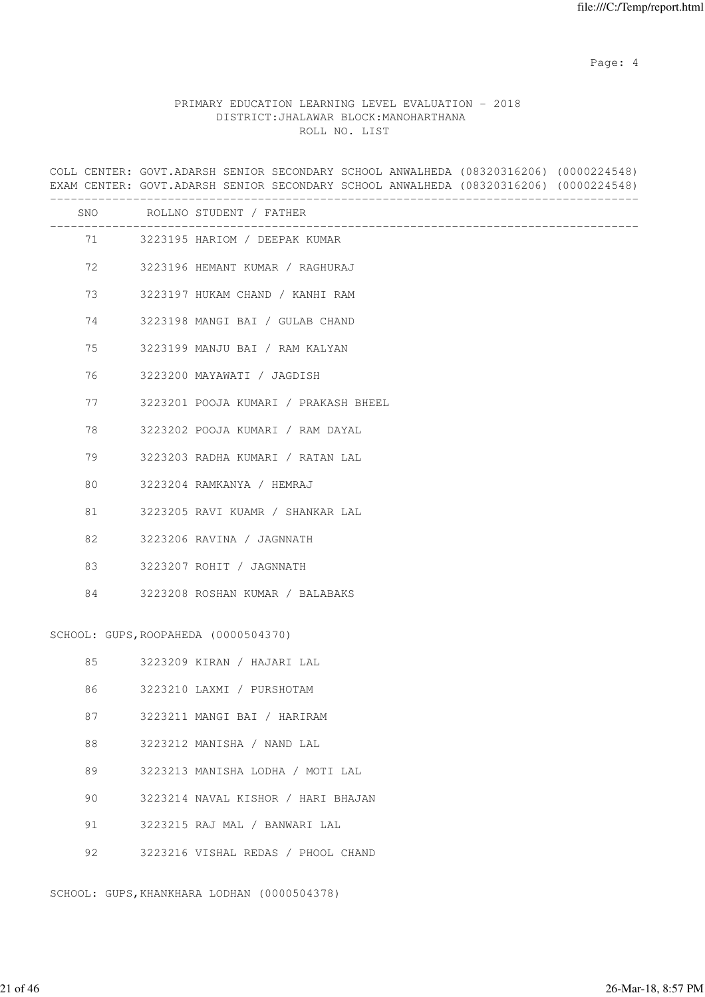Page: 4  $P$ 

# PRIMARY EDUCATION LEARNING LEVEL EVALUATION - 2018 DISTRICT:JHALAWAR BLOCK:MANOHARTHANA ROLL NO. LIST

|     | COLL CENTER: GOVT.ADARSH SENIOR SECONDARY SCHOOL ANWALHEDA (08320316206) (0000224548)<br>EXAM CENTER: GOVT.ADARSH SENIOR SECONDARY SCHOOL ANWALHEDA (08320316206) (0000224548) |
|-----|--------------------------------------------------------------------------------------------------------------------------------------------------------------------------------|
| SNO | ROLLNO STUDENT / FATHER                                                                                                                                                        |
|     | 71 3223195 HARIOM / DEEPAK KUMAR                                                                                                                                               |
| 72  | 3223196 HEMANT KUMAR / RAGHURAJ                                                                                                                                                |
| 73  | 3223197 HUKAM CHAND / KANHI RAM                                                                                                                                                |
| 74  | 3223198 MANGI BAI / GULAB CHAND                                                                                                                                                |
| 75  | 3223199 MANJU BAI / RAM KALYAN                                                                                                                                                 |
| 76  | 3223200 MAYAWATI / JAGDISH                                                                                                                                                     |
| 77  | 3223201 POOJA KUMARI / PRAKASH BHEEL                                                                                                                                           |
| 78  | 3223202 POOJA KUMARI / RAM DAYAL                                                                                                                                               |
| 79  | 3223203 RADHA KUMARI / RATAN LAL                                                                                                                                               |
| 80  | 3223204 RAMKANYA / HEMRAJ                                                                                                                                                      |
| 81  | 3223205 RAVI KUAMR / SHANKAR LAL                                                                                                                                               |
| 82  | 3223206 RAVINA / JAGNNATH                                                                                                                                                      |
| 83  | 3223207 ROHIT / JAGNNATH                                                                                                                                                       |
| 84  | 3223208 ROSHAN KUMAR / BALABAKS                                                                                                                                                |
|     | SCHOOL: GUPS, ROOPAHEDA (0000504370)                                                                                                                                           |
| 85  | 3223209 KIRAN / HAJARI LAL                                                                                                                                                     |
| 86  | 3223210 LAXMI / PURSHOTAM                                                                                                                                                      |
| 87  | 3223211 MANGI BAI / HARIRAM                                                                                                                                                    |
| 88  | 3223212 MANISHA / NAND LAL                                                                                                                                                     |
| 89  | 3223213 MANISHA LODHA / MOTI LAL                                                                                                                                               |
| 90  | 3223214 NAVAL KISHOR / HARI BHAJAN                                                                                                                                             |
| 91  | 3223215 RAJ MAL / BANWARI LAL                                                                                                                                                  |
| 92  | 3223216 VISHAL REDAS / PHOOL CHAND                                                                                                                                             |

SCHOOL: GUPS,KHANKHARA LODHAN (0000504378)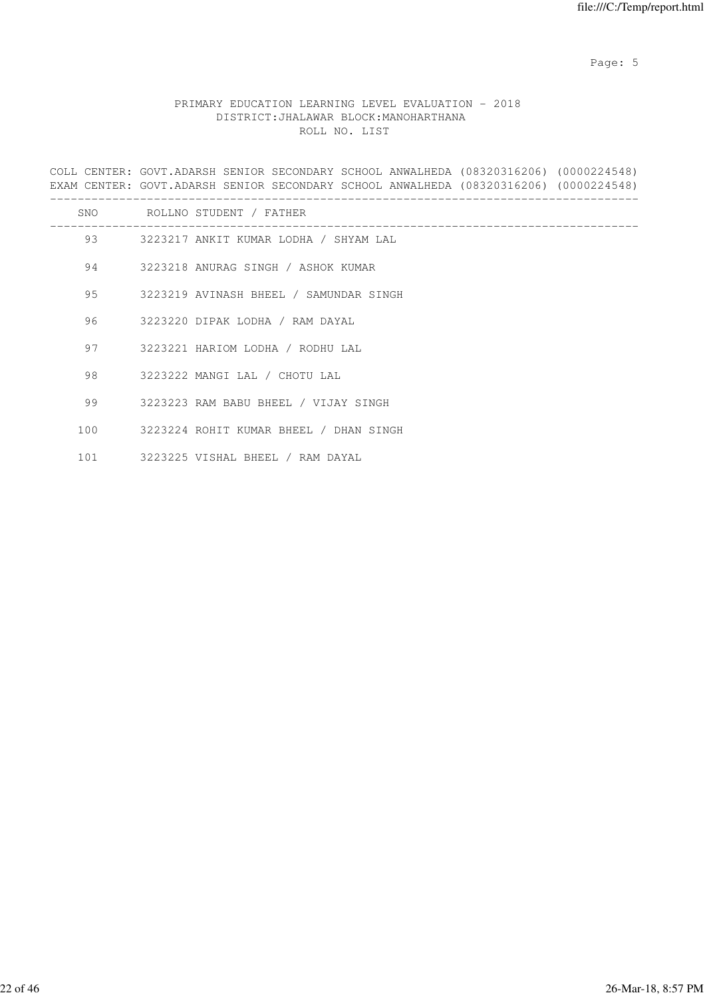Page: 5  $P$  and  $P$  and  $P$  and  $P$  and  $P$  and  $P$  and  $P$  and  $P$  and  $P$  and  $P$  and  $P$  and  $P$  and  $P$  and  $P$  and  $P$  and  $P$  and  $P$  and  $P$  and  $P$  and  $P$  and  $P$  and  $P$  and  $P$  and  $P$  and  $P$  and  $P$  and  $P$  an

# PRIMARY EDUCATION LEARNING LEVEL EVALUATION - 2018 DISTRICT:JHALAWAR BLOCK:MANOHARTHANA ROLL NO. LIST

COLL CENTER: GOVT.ADARSH SENIOR SECONDARY SCHOOL ANWALHEDA (08320316206) (0000224548) EXAM CENTER: GOVT.ADARSH SENIOR SECONDARY SCHOOL ANWALHEDA (08320316206) (0000224548) -------------------------------------------------------------------------------------

| SNO | ROLLNO STUDENT / FATHER                |
|-----|----------------------------------------|
| 93  | 3223217 ANKIT KUMAR LODHA / SHYAM LAL  |
| 94  | 3223218 ANURAG SINGH / ASHOK KUMAR     |
| 95  | 3223219 AVINASH BHEEL / SAMUNDAR SINGH |
| 96  | 3223220 DIPAK LODHA / RAM DAYAL        |
| 97  | 3223221 HARIOM LODHA / RODHU LAL       |
| 98  | 3223222 MANGI LAL / CHOTU LAL          |
| 99  | 3223223 RAM BABU BHEEL / VIJAY SINGH   |
| 100 | 3223224 ROHIT KUMAR BHEEL / DHAN SINGH |
| 101 | 3223225 VISHAL BHEEL / RAM DAYAL       |
|     |                                        |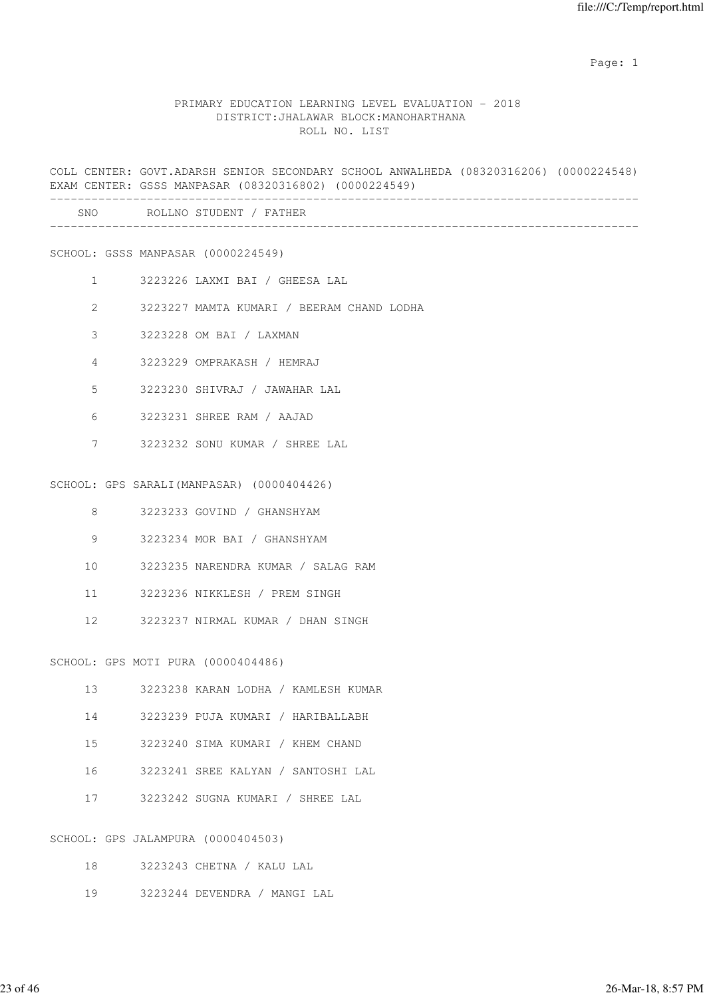### PRIMARY EDUCATION LEARNING LEVEL EVALUATION - 2018 DISTRICT:JHALAWAR BLOCK:MANOHARTHANA ROLL NO. LIST

COLL CENTER: GOVT.ADARSH SENIOR SECONDARY SCHOOL ANWALHEDA (08320316206) (0000224548) EXAM CENTER: GSSS MANPASAR (08320316802) (0000224549) ------------------------------------------------------------------------------------- SNO ROLLNO STUDENT / FATHER ------------------------------------------------------------------------------------- SCHOOL: GSSS MANPASAR (0000224549) 1 3223226 LAXMI BAI / GHEESA LAL 2 3223227 MAMTA KUMARI / BEERAM CHAND LODHA 3 3223228 OM BAI / LAXMAN 4 3223229 OMPRAKASH / HEMRAJ 5 3223230 SHIVRAJ / JAWAHAR LAL 6 3223231 SHREE RAM / AAJAD 7 3223232 SONU KUMAR / SHREE LAL SCHOOL: GPS SARALI(MANPASAR) (0000404426) 8 3223233 GOVIND / GHANSHYAM 9 3223234 MOR BAI / GHANSHYAM 10 3223235 NARENDRA KUMAR / SALAG RAM 11 3223236 NIKKLESH / PREM SINGH 12 3223237 NIRMAL KUMAR / DHAN SINGH SCHOOL: GPS MOTI PURA (0000404486) 13 3223238 KARAN LODHA / KAMLESH KUMAR 14 3223239 PUJA KUMARI / HARIBALLABH 15 3223240 SIMA KUMARI / KHEM CHAND 16 3223241 SREE KALYAN / SANTOSHI LAL 17 3223242 SUGNA KUMARI / SHREE LAL SCHOOL: GPS JALAMPURA (0000404503)

18 3223243 CHETNA / KALU LAL

19 3223244 DEVENDRA / MANGI LAL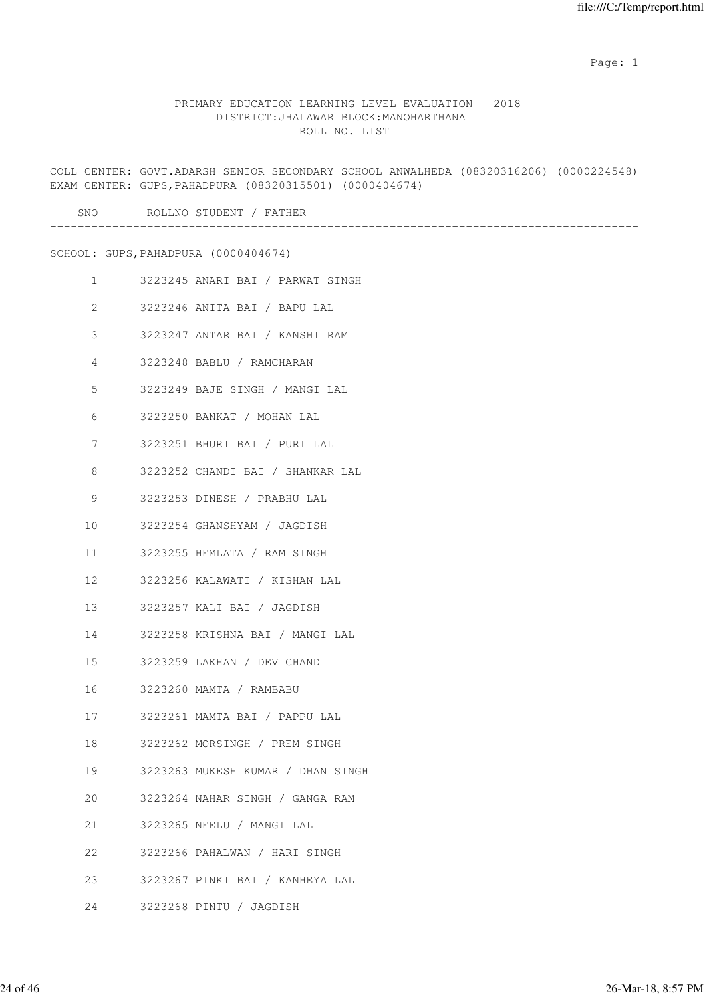### PRIMARY EDUCATION LEARNING LEVEL EVALUATION - 2018 DISTRICT:JHALAWAR BLOCK:MANOHARTHANA ROLL NO. LIST

COLL CENTER: GOVT.ADARSH SENIOR SECONDARY SCHOOL ANWALHEDA (08320316206) (0000224548) EXAM CENTER: GUPS,PAHADPURA (08320315501) (0000404674) ------------------------------------------------------------------------------------- SNO ROLLNO STUDENT / FATHER ------------------------------------------------------------------------------------- SCHOOL: GUPS,PAHADPURA (0000404674) 1 3223245 ANARI BAI / PARWAT SINGH 2 3223246 ANITA BAI / BAPU LAL 3 3223247 ANTAR BAI / KANSHI RAM 4 3223248 BABLU / RAMCHARAN 5 3223249 BAJE SINGH / MANGI LAL 6 3223250 BANKAT / MOHAN LAL 7 3223251 BHURI BAI / PURI LAL 8 3223252 CHANDI BAI / SHANKAR LAL 9 3223253 DINESH / PRABHU LAL 10 3223254 GHANSHYAM / JAGDISH 11 3223255 HEMLATA / RAM SINGH 12 3223256 KALAWATI / KISHAN LAL 13 3223257 KALI BAI / JAGDISH 14 3223258 KRISHNA BAI / MANGI LAL 15 3223259 LAKHAN / DEV CHAND 16 3223260 MAMTA / RAMBABU 17 3223261 MAMTA BAI / PAPPU LAL 18 3223262 MORSINGH / PREM SINGH 19 3223263 MUKESH KUMAR / DHAN SINGH 20 3223264 NAHAR SINGH / GANGA RAM 21 3223265 NEELU / MANGI LAL 22 3223266 PAHALWAN / HARI SINGH 23 3223267 PINKI BAI / KANHEYA LAL 24 3223268 PINTU / JAGDISH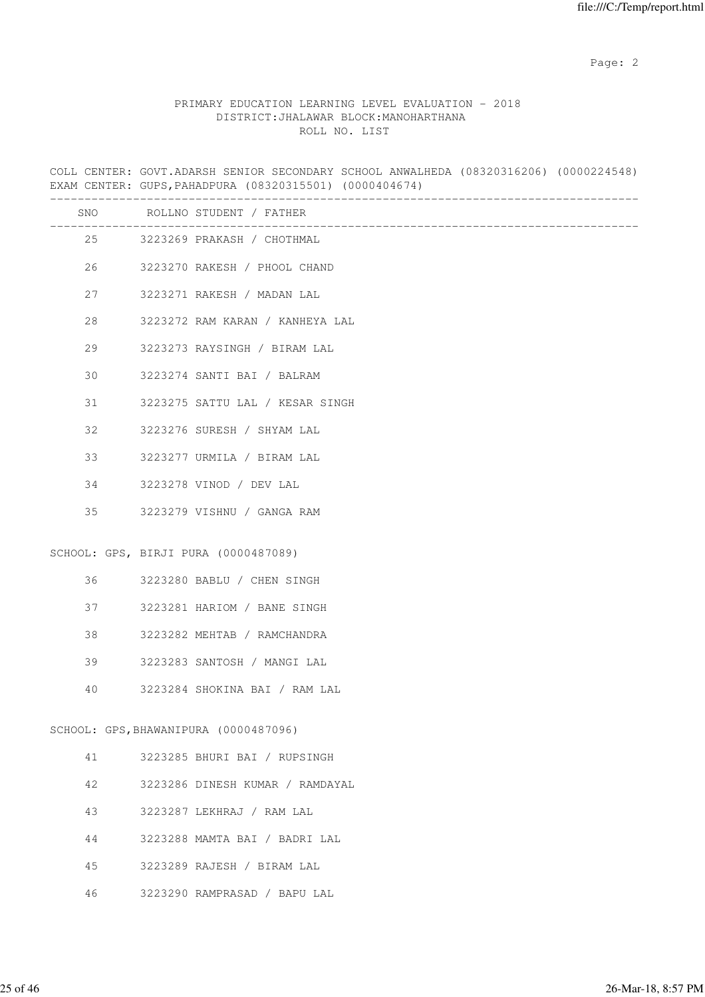# PRIMARY EDUCATION LEARNING LEVEL EVALUATION - 2018 DISTRICT:JHALAWAR BLOCK:MANOHARTHANA ROLL NO. LIST

COLL CENTER: GOVT.ADARSH SENIOR SECONDARY SCHOOL ANWALHEDA (08320316206) (0000224548) EXAM CENTER: GUPS,PAHADPURA (08320315501) (0000404674)

| SNO | ROLLNO STUDENT / FATHER               |
|-----|---------------------------------------|
|     | 25 3223269 PRAKASH / CHOTHMAL         |
| 26  | 3223270 RAKESH / PHOOL CHAND          |
| 27  | 3223271 RAKESH / MADAN LAL            |
| 28  | 3223272 RAM KARAN / KANHEYA LAL       |
| 29  | 3223273 RAYSINGH / BIRAM LAL          |
| 30  | 3223274 SANTI BAI / BALRAM            |
| 31  | 3223275 SATTU LAL / KESAR SINGH       |
| 32  | 3223276 SURESH / SHYAM LAL            |
| 33  | 3223277 URMILA / BIRAM LAL            |
| 34  | 3223278 VINOD / DEV LAL               |
| 35  | 3223279 VISHNU / GANGA RAM            |
|     | SCHOOL: GPS, BIRJI PURA (0000487089)  |
| 36  | 3223280 BABLU / CHEN SINGH            |
| 37  | 3223281 HARIOM / BANE SINGH           |
| 38  | 3223282 MEHTAB / RAMCHANDRA           |
| 39  | 3223283 SANTOSH / MANGI LAL           |
| 40  | 3223284 SHOKINA BAI / RAM LAL         |
|     | SCHOOL: GPS, BHAWANIPURA (0000487096) |
| 41  | 3223285 BHURI BAI / RUPSINGH          |
| 42  | 3223286 DINESH KUMAR / RAMDAYAL       |
| 43  | 3223287 LEKHRAJ / RAM LAL             |
| 44  | 3223288 MAMTA BAI / BADRI LAL         |

- 45 3223289 RAJESH / BIRAM LAL
- 46 3223290 RAMPRASAD / BAPU LAL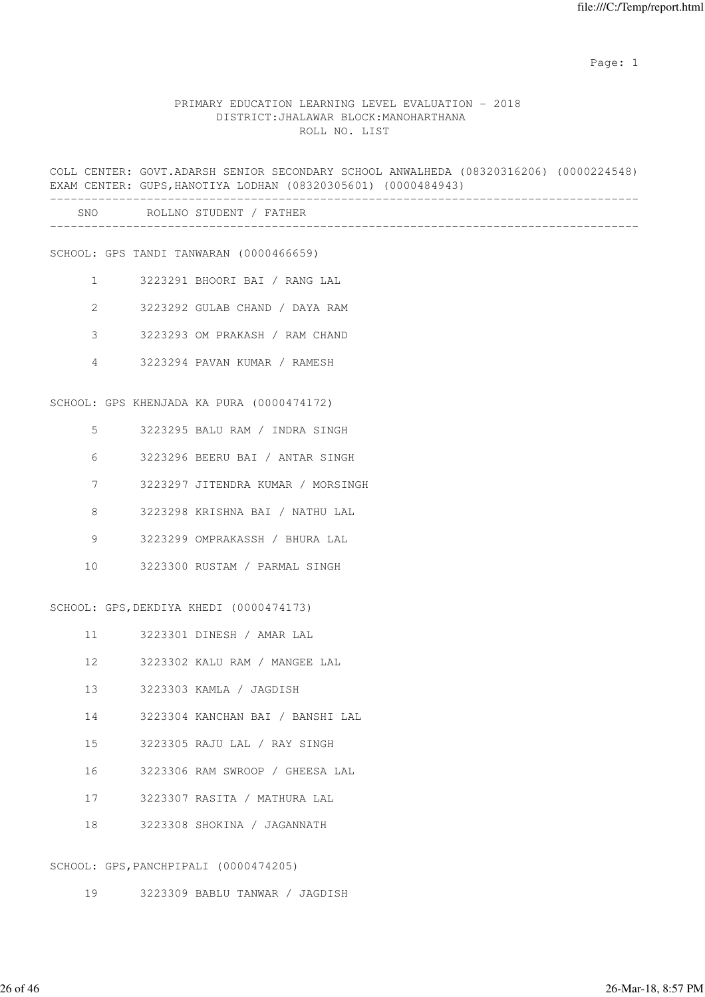### PRIMARY EDUCATION LEARNING LEVEL EVALUATION - 2018 DISTRICT:JHALAWAR BLOCK:MANOHARTHANA ROLL NO. LIST

COLL CENTER: GOVT.ADARSH SENIOR SECONDARY SCHOOL ANWALHEDA (08320316206) (0000224548) EXAM CENTER: GUPS,HANOTIYA LODHAN (08320305601) (0000484943) ------------------------------------------------------------------------------------- SNO ROLLNO STUDENT / FATHER ------------------------------------------------------------------------------------- SCHOOL: GPS TANDI TANWARAN (0000466659) 1 3223291 BHOORI BAI / RANG LAL 2 3223292 GULAB CHAND / DAYA RAM 3 3223293 OM PRAKASH / RAM CHAND 4 3223294 PAVAN KUMAR / RAMESH SCHOOL: GPS KHENJADA KA PURA (0000474172) 5 3223295 BALU RAM / INDRA SINGH 6 3223296 BEERU BAI / ANTAR SINGH 7 3223297 JITENDRA KUMAR / MORSINGH 8 3223298 KRISHNA BAI / NATHU LAL 9 3223299 OMPRAKASSH / BHURA LAL 10 3223300 RUSTAM / PARMAL SINGH SCHOOL: GPS,DEKDIYA KHEDI (0000474173) 11 3223301 DINESH / AMAR LAL 12 3223302 KALU RAM / MANGEE LAL 13 3223303 KAMLA / JAGDISH 14 3223304 KANCHAN BAI / BANSHI LAL 15 3223305 RAJU LAL / RAY SINGH 16 3223306 RAM SWROOP / GHEESA LAL 17 3223307 RASITA / MATHURA LAL 18 3223308 SHOKINA / JAGANNATH

#### SCHOOL: GPS,PANCHPIPALI (0000474205)

19 3223309 BABLU TANWAR / JAGDISH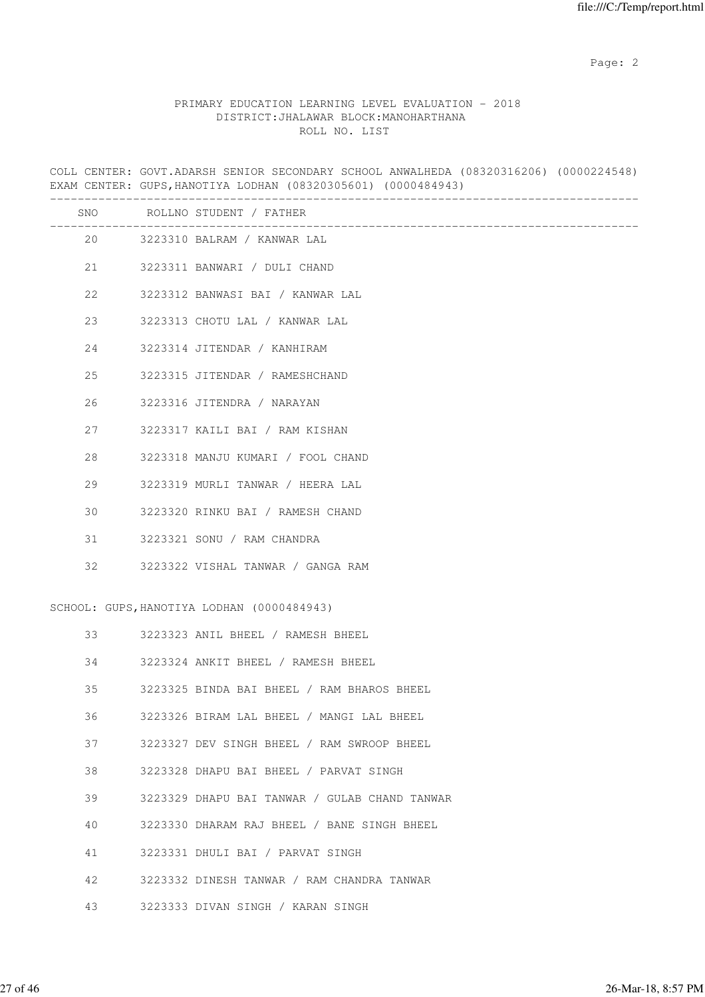# PRIMARY EDUCATION LEARNING LEVEL EVALUATION - 2018 DISTRICT:JHALAWAR BLOCK:MANOHARTHANA ROLL NO. LIST

COLL CENTER: GOVT.ADARSH SENIOR SECONDARY SCHOOL ANWALHEDA (08320316206) (0000224548) EXAM CENTER: GUPS,HANOTIYA LODHAN (08320305601) (0000484943)

|    |    | SNO ROLLNO STUDENT / FATHER<br>___________________________________ |
|----|----|--------------------------------------------------------------------|
|    | 20 | 3223310 BALRAM / KANWAR LAL                                        |
|    |    | 21 3223311 BANWARI / DULI CHAND                                    |
| 22 |    | 3223312 BANWASI BAI / KANWAR LAL                                   |
| 23 |    | 3223313 CHOTU LAL / KANWAR LAL                                     |
| 24 |    | 3223314 JITENDAR / KANHIRAM                                        |
| 25 |    | 3223315 JITENDAR / RAMESHCHAND                                     |
| 26 |    | 3223316 JITENDRA / NARAYAN                                         |
| 27 |    | 3223317 KAILI BAI / RAM KISHAN                                     |
| 28 |    | 3223318 MANJU KUMARI / FOOL CHAND                                  |
| 29 |    | 3223319 MURLI TANWAR / HEERA LAL                                   |
| 30 |    | 3223320 RINKU BAI / RAMESH CHAND                                   |
| 31 |    | 3223321 SONU / RAM CHANDRA                                         |
| 32 |    | 3223322 VISHAL TANWAR / GANGA RAM                                  |
|    |    | SCHOOL: GUPS, HANOTIYA LODHAN (0000484943)                         |
| 33 |    | 3223323 ANIL BHEEL / RAMESH BHEEL                                  |
| 34 |    |                                                                    |
|    |    | 3223324 ANKIT BHEEL / RAMESH BHEEL                                 |
| 35 |    | 3223325 BINDA BAI BHEEL / RAM BHAROS BHEEL                         |
| 36 |    | 3223326 BIRAM LAL BHEEL / MANGI LAL BHEEL                          |
| 37 |    | 3223327 DEV SINGH BHEEL / RAM SWROOP BHEEL                         |
| 38 |    | 3223328 DHAPU BAI BHEEL / PARVAT SINGH                             |
| 39 |    | 3223329 DHAPU BAI TANWAR / GULAB CHAND TANWAR                      |
| 40 |    | 3223330 DHARAM RAJ BHEEL / BANE SINGH BHEEL                        |
| 41 |    | 3223331 DHULI BAI / PARVAT SINGH                                   |
| 42 |    | 3223332 DINESH TANWAR / RAM CHANDRA TANWAR                         |
| 43 |    | 3223333 DIVAN SINGH / KARAN SINGH                                  |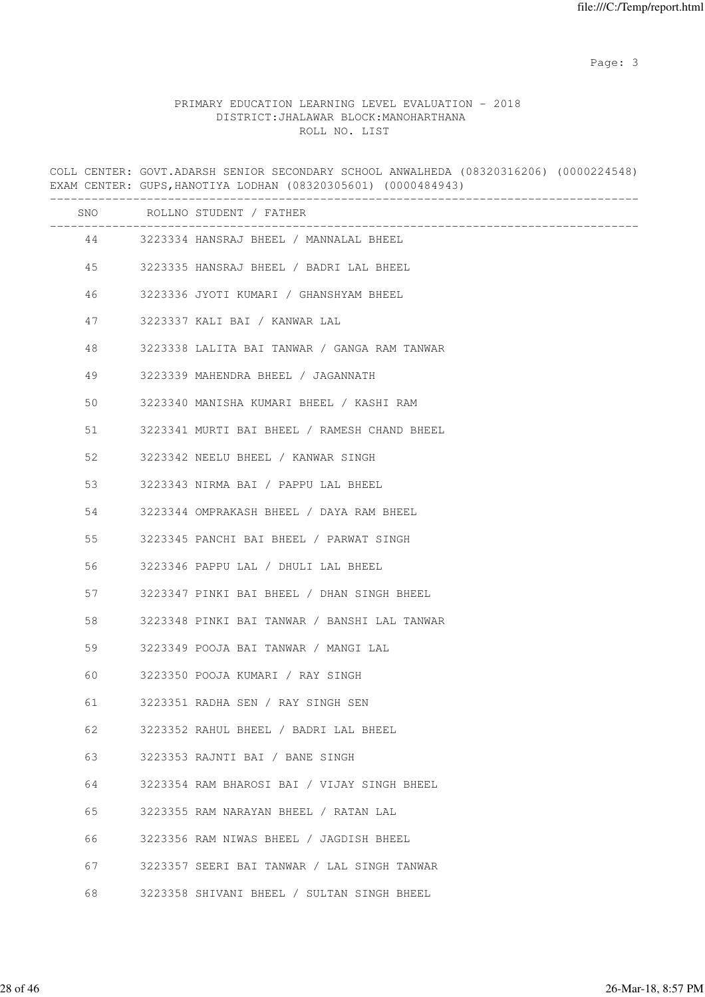Page: 3

### PRIMARY EDUCATION LEARNING LEVEL EVALUATION - 2018 DISTRICT:JHALAWAR BLOCK:MANOHARTHANA ROLL NO. LIST

COLL CENTER: GOVT.ADARSH SENIOR SECONDARY SCHOOL ANWALHEDA (08320316206) (0000224548) EXAM CENTER: GUPS,HANOTIYA LODHAN (08320305601) (0000484943) ------------------------------------------------------------------------------------- SNO ROLLNO STUDENT / FATHER ------------------------------------------------------------------------------------- 44 3223334 HANSRAJ BHEEL / MANNALAL BHEEL 45 3223335 HANSRAJ BHEEL / BADRI LAL BHEEL 46 3223336 JYOTI KUMARI / GHANSHYAM BHEEL 47 3223337 KALI BAI / KANWAR LAL 48 3223338 LALITA BAI TANWAR / GANGA RAM TANWAR 49 3223339 MAHENDRA BHEEL / JAGANNATH 50 3223340 MANISHA KUMARI BHEEL / KASHI RAM 51 3223341 MURTI BAI BHEEL / RAMESH CHAND BHEEL 52 3223342 NEELU BHEEL / KANWAR SINGH 53 3223343 NIRMA BAI / PAPPU LAL BHEEL 54 3223344 OMPRAKASH BHEEL / DAYA RAM BHEEL 55 3223345 PANCHI BAI BHEEL / PARWAT SINGH 56 3223346 PAPPU LAL / DHULI LAL BHEEL 57 3223347 PINKI BAI BHEEL / DHAN SINGH BHEEL 58 3223348 PINKI BAI TANWAR / BANSHI LAL TANWAR 59 3223349 POOJA BAI TANWAR / MANGI LAL 60 3223350 POOJA KUMARI / RAY SINGH 61 3223351 RADHA SEN / RAY SINGH SEN 62 3223352 RAHUL BHEEL / BADRI LAL BHEEL 63 3223353 RAJNTI BAI / BANE SINGH 64 3223354 RAM BHAROSI BAI / VIJAY SINGH BHEEL 65 3223355 RAM NARAYAN BHEEL / RATAN LAL 66 3223356 RAM NIWAS BHEEL / JAGDISH BHEEL 67 3223357 SEERI BAI TANWAR / LAL SINGH TANWAR 68 3223358 SHIVANI BHEEL / SULTAN SINGH BHEEL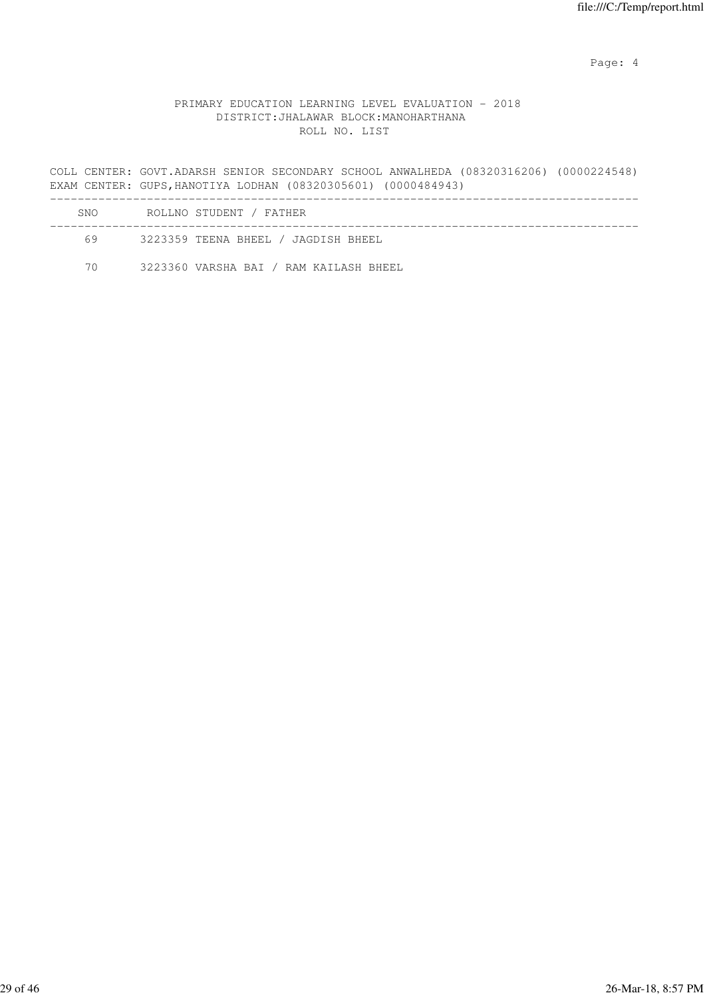Page: 4  $P$ 

# PRIMARY EDUCATION LEARNING LEVEL EVALUATION - 2018 DISTRICT:JHALAWAR BLOCK:MANOHARTHANA ROLL NO. LIST

COLL CENTER: GOVT.ADARSH SENIOR SECONDARY SCHOOL ANWALHEDA (08320316206) (0000224548) EXAM CENTER: GUPS,HANOTIYA LODHAN (08320305601) (0000484943) -------------------------------------------------------------------------------------

| SNO. | ROLLNO STUDENT / FATHER                |  |
|------|----------------------------------------|--|
| 69   | 3223359 TEENA BHEEL / JAGDISH BHEEL    |  |
| 70   | 3223360 VARSHA BAI / RAM KAILASH BHEEL |  |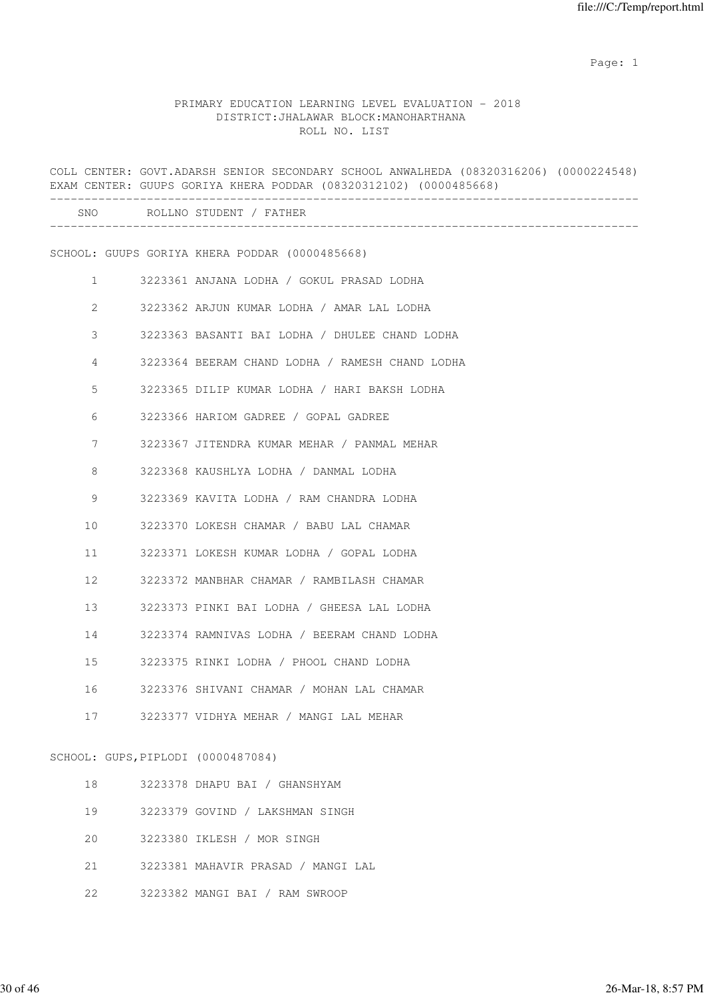# PRIMARY EDUCATION LEARNING LEVEL EVALUATION - 2018 DISTRICT:JHALAWAR BLOCK:MANOHARTHANA ROLL NO. LIST

|                       |                                    | COLL CENTER: GOVT.ADARSH SENIOR SECONDARY SCHOOL ANWALHEDA (08320316206) (0000224548)<br>EXAM CENTER: GUUPS GORIYA KHERA PODDAR (08320312102) (0000485668) |
|-----------------------|------------------------------------|------------------------------------------------------------------------------------------------------------------------------------------------------------|
|                       |                                    | SNO ROLLNO STUDENT / FATHER                                                                                                                                |
|                       |                                    | SCHOOL: GUUPS GORIYA KHERA PODDAR (0000485668)                                                                                                             |
|                       | $\mathbf{1}$                       | 3223361 ANJANA LODHA / GOKUL PRASAD LODHA                                                                                                                  |
| $\mathbf{2}^{\prime}$ |                                    | 3223362 ARJUN KUMAR LODHA / AMAR LAL LODHA                                                                                                                 |
| 3                     |                                    | 3223363 BASANTI BAI LODHA / DHULEE CHAND LODHA                                                                                                             |
| 4                     |                                    | 3223364 BEERAM CHAND LODHA / RAMESH CHAND LODHA                                                                                                            |
| 5                     |                                    | 3223365 DILIP KUMAR LODHA / HARI BAKSH LODHA                                                                                                               |
| 6                     |                                    | 3223366 HARIOM GADREE / GOPAL GADREE                                                                                                                       |
| 7                     |                                    | 3223367 JITENDRA KUMAR MEHAR / PANMAL MEHAR                                                                                                                |
| 8                     |                                    | 3223368 KAUSHLYA LODHA / DANMAL LODHA                                                                                                                      |
| $\mathsf 9$           |                                    | 3223369 KAVITA LODHA / RAM CHANDRA LODHA                                                                                                                   |
| 10                    |                                    | 3223370 LOKESH CHAMAR / BABU LAL CHAMAR                                                                                                                    |
| 11                    |                                    | 3223371 LOKESH KUMAR LODHA / GOPAL LODHA                                                                                                                   |
| 12                    |                                    | 3223372 MANBHAR CHAMAR / RAMBILASH CHAMAR                                                                                                                  |
| 13                    |                                    | 3223373 PINKI BAI LODHA / GHEESA LAL LODHA                                                                                                                 |
| 14                    |                                    | 3223374 RAMNIVAS LODHA / BEERAM CHAND LODHA                                                                                                                |
| 15                    |                                    | 3223375 RINKI LODHA / PHOOL CHAND LODHA                                                                                                                    |
| 16                    |                                    | 3223376 SHIVANI CHAMAR / MOHAN LAL CHAMAR                                                                                                                  |
| 17                    |                                    | 3223377 VIDHYA MEHAR / MANGI LAL MEHAR                                                                                                                     |
|                       | SCHOOL: GUPS, PIPLODI (0000487084) |                                                                                                                                                            |
| 18                    |                                    | 3223378 DHAPU BAI / GHANSHYAM                                                                                                                              |
| 19                    |                                    | 3223379 GOVIND / LAKSHMAN SINGH                                                                                                                            |
| 20                    |                                    | 3223380 IKLESH / MOR SINGH                                                                                                                                 |
| 21                    |                                    | 3223381 MAHAVIR PRASAD / MANGI LAL                                                                                                                         |

22 3223382 MANGI BAI / RAM SWROOP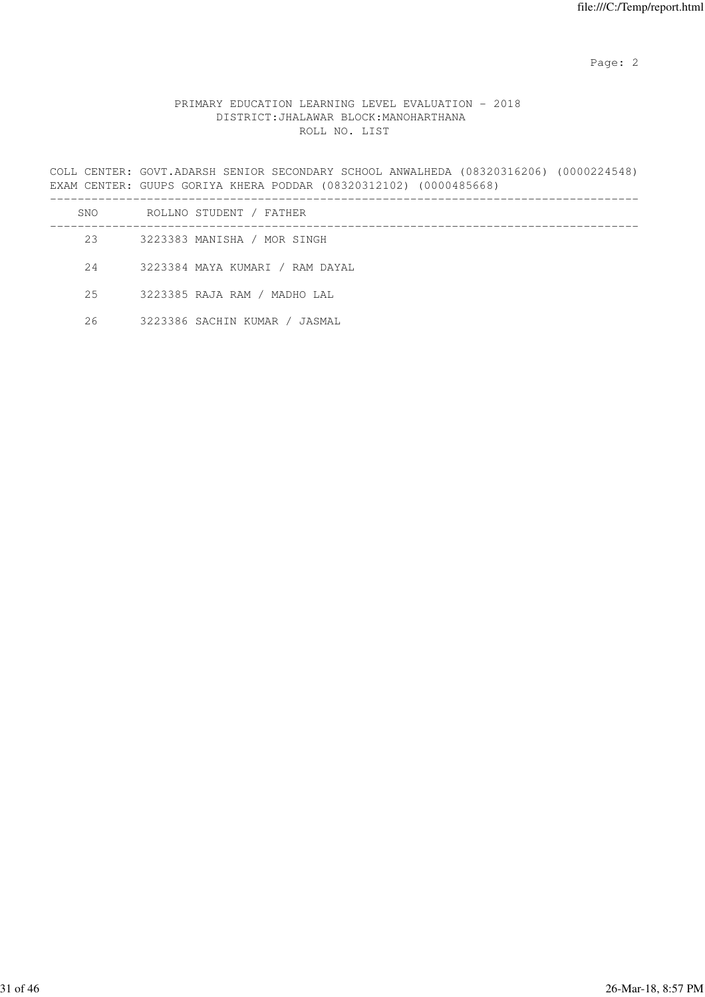# PRIMARY EDUCATION LEARNING LEVEL EVALUATION - 2018 DISTRICT:JHALAWAR BLOCK:MANOHARTHANA ROLL NO. LIST

COLL CENTER: GOVT.ADARSH SENIOR SECONDARY SCHOOL ANWALHEDA (08320316206) (0000224548) EXAM CENTER: GUUPS GORIYA KHERA PODDAR (08320312102) (0000485668)

| SNO | ROLLNO STUDENT / FATHER         |
|-----|---------------------------------|
| 23  | 3223383 MANISHA / MOR SINGH     |
| 24  | 3223384 MAYA KUMARI / RAM DAYAL |
| 2.5 | 3223385 RAJA RAM / MADHO LAL    |
| 26  | 3223386 SACHIN KUMAR / JASMAL   |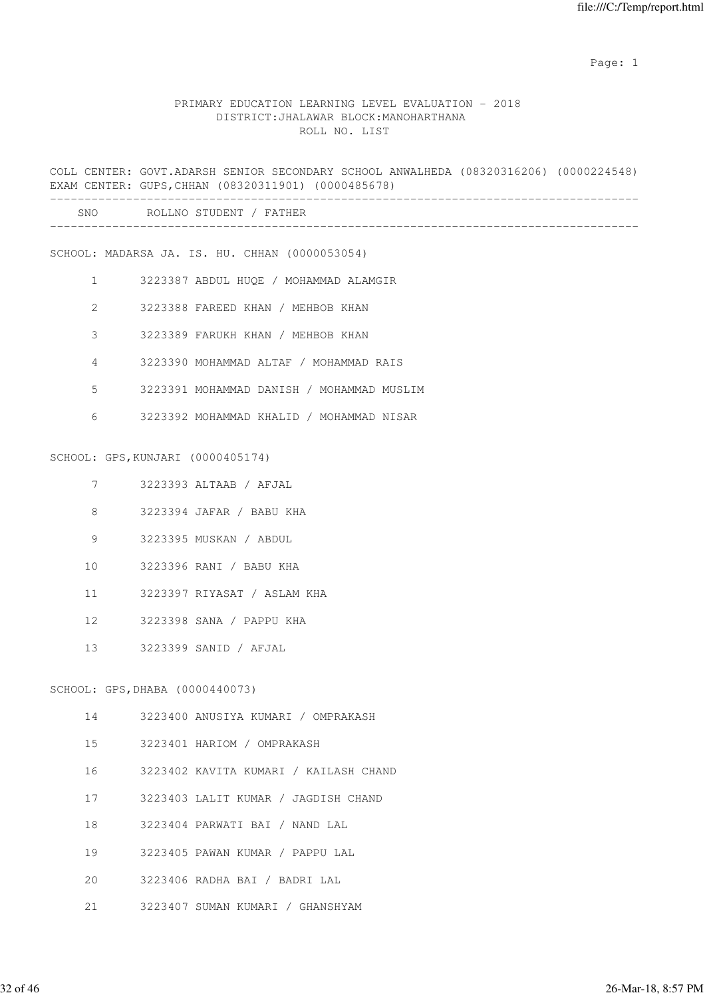### PRIMARY EDUCATION LEARNING LEVEL EVALUATION - 2018 DISTRICT:JHALAWAR BLOCK:MANOHARTHANA ROLL NO. LIST

COLL CENTER: GOVT.ADARSH SENIOR SECONDARY SCHOOL ANWALHEDA (08320316206) (0000224548) EXAM CENTER: GUPS,CHHAN (08320311901) (0000485678) ------------------------------------------------------------------------------------- SNO ROLLNO STUDENT / FATHER ------------------------------------------------------------------------------------- SCHOOL: MADARSA JA. IS. HU. CHHAN (0000053054) 1 3223387 ABDUL HUQE / MOHAMMAD ALAMGIR 2 3223388 FAREED KHAN / MEHBOB KHAN 3 3223389 FARUKH KHAN / MEHBOB KHAN 4 3223390 MOHAMMAD ALTAF / MOHAMMAD RAIS 5 3223391 MOHAMMAD DANISH / MOHAMMAD MUSLIM 6 3223392 MOHAMMAD KHALID / MOHAMMAD NISAR SCHOOL: GPS,KUNJARI (0000405174) 7 3223393 ALTAAB / AFJAL 8 3223394 JAFAR / BABU KHA 9 3223395 MUSKAN / ABDUL 10 3223396 RANI / BABU KHA 11 3223397 RIYASAT / ASLAM KHA 12 3223398 SANA / PAPPU KHA 13 3223399 SANID / AFJAL SCHOOL: GPS,DHABA (0000440073) 14 3223400 ANUSIYA KUMARI / OMPRAKASH 15 3223401 HARIOM / OMPRAKASH 16 3223402 KAVITA KUMARI / KAILASH CHAND 17 3223403 LALIT KUMAR / JAGDISH CHAND 18 3223404 PARWATI BAI / NAND LAL

19 3223405 PAWAN KUMAR / PAPPU LAL

20 3223406 RADHA BAI / BADRI LAL

21 3223407 SUMAN KUMARI / GHANSHYAM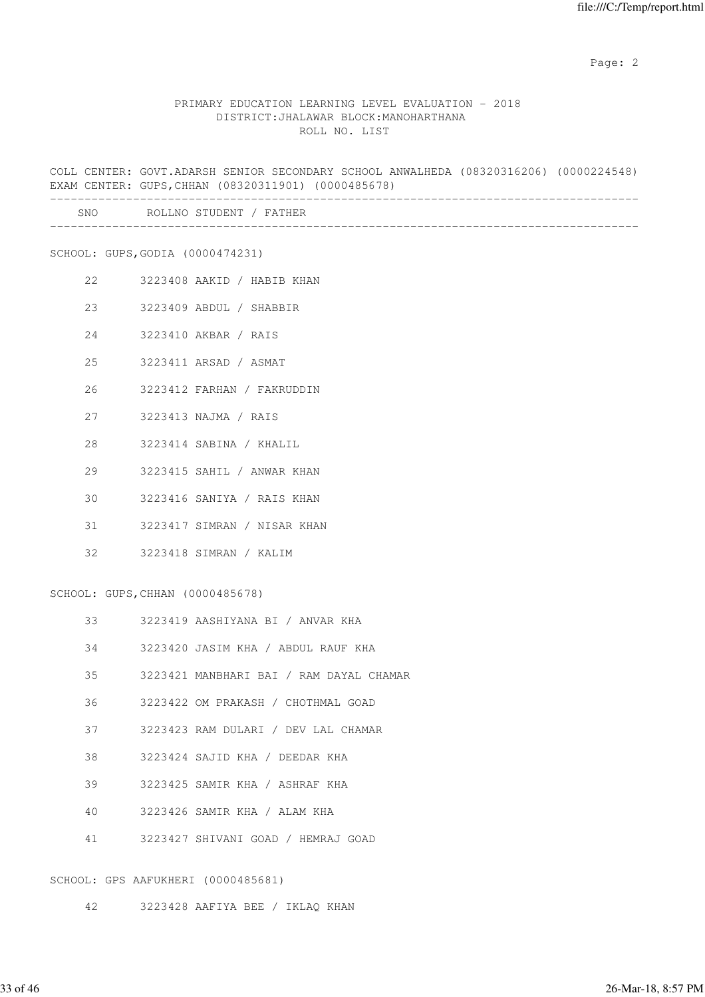#### PRIMARY EDUCATION LEARNING LEVEL EVALUATION - 2018 DISTRICT:JHALAWAR BLOCK:MANOHARTHANA ROLL NO. LIST

COLL CENTER: GOVT.ADARSH SENIOR SECONDARY SCHOOL ANWALHEDA (08320316206) (0000224548) EXAM CENTER: GUPS,CHHAN (08320311901) (0000485678) ------------------------------------------------------------------------------------- SNO ROLLNO STUDENT / FATHER ------------------------------------------------------------------------------------- SCHOOL: GUPS,GODIA (0000474231) 22 3223408 AAKID / HABIB KHAN 23 3223409 ABDUL / SHABBIR 24 3223410 AKBAR / RAIS 25 3223411 ARSAD / ASMAT 26 3223412 FARHAN / FAKRUDDIN 27 3223413 NAJMA / RAIS 28 3223414 SABINA / KHALIL 29 3223415 SAHIL / ANWAR KHAN 30 3223416 SANIYA / RAIS KHAN 31 3223417 SIMRAN / NISAR KHAN 32 3223418 SIMRAN / KALIM SCHOOL: GUPS,CHHAN (0000485678) 33 3223419 AASHIYANA BI / ANVAR KHA 34 3223420 JASIM KHA / ABDUL RAUF KHA 35 3223421 MANBHARI BAI / RAM DAYAL CHAMAR 36 3223422 OM PRAKASH / CHOTHMAL GOAD 37 3223423 RAM DULARI / DEV LAL CHAMAR 38 3223424 SAJID KHA / DEEDAR KHA 39 3223425 SAMIR KHA / ASHRAF KHA 40 3223426 SAMIR KHA / ALAM KHA 41 3223427 SHIVANI GOAD / HEMRAJ GOAD SCHOOL: GPS AAFUKHERI (0000485681)

42 3223428 AAFIYA BEE / IKLAQ KHAN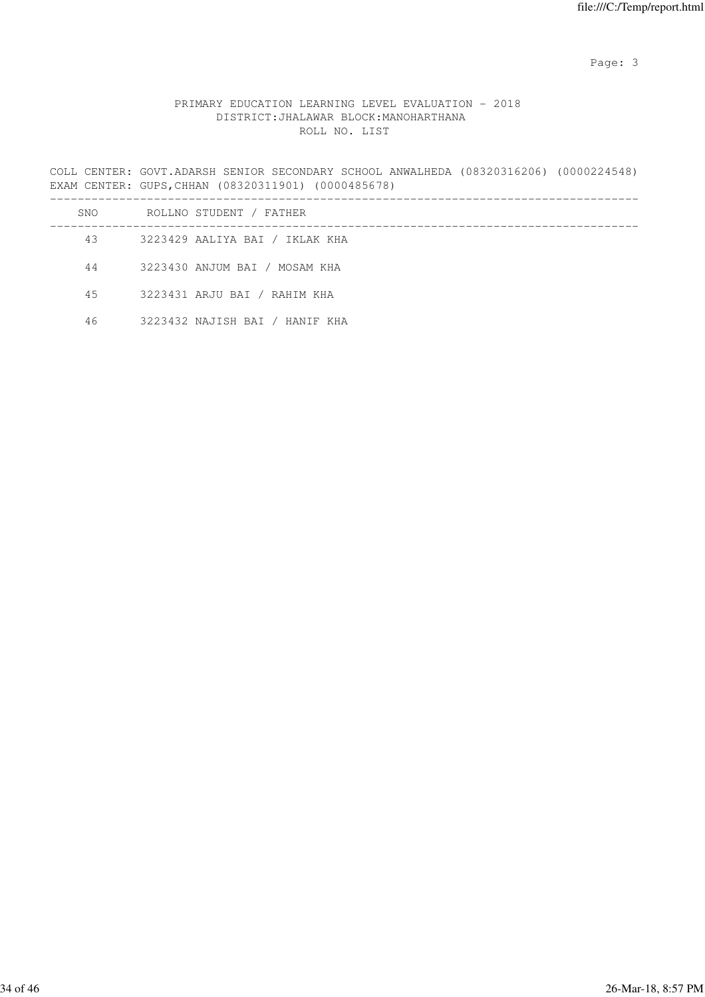Page: 3

# PRIMARY EDUCATION LEARNING LEVEL EVALUATION - 2018 DISTRICT:JHALAWAR BLOCK:MANOHARTHANA ROLL NO. LIST

COLL CENTER: GOVT.ADARSH SENIOR SECONDARY SCHOOL ANWALHEDA (08320316206) (0000224548) EXAM CENTER: GUPS,CHHAN (08320311901) (0000485678)

| SNO | ROLLNO STUDENT / FATHER        |
|-----|--------------------------------|
| 43  | 3223429 AALIYA BAI / IKLAK KHA |
| 44  | 3223430 ANJUM BAI / MOSAM KHA  |
| 45  | 3223431 ARJU BAI / RAHIM KHA   |
| 46  | 3223432 NAJISH BAI / HANIF KHA |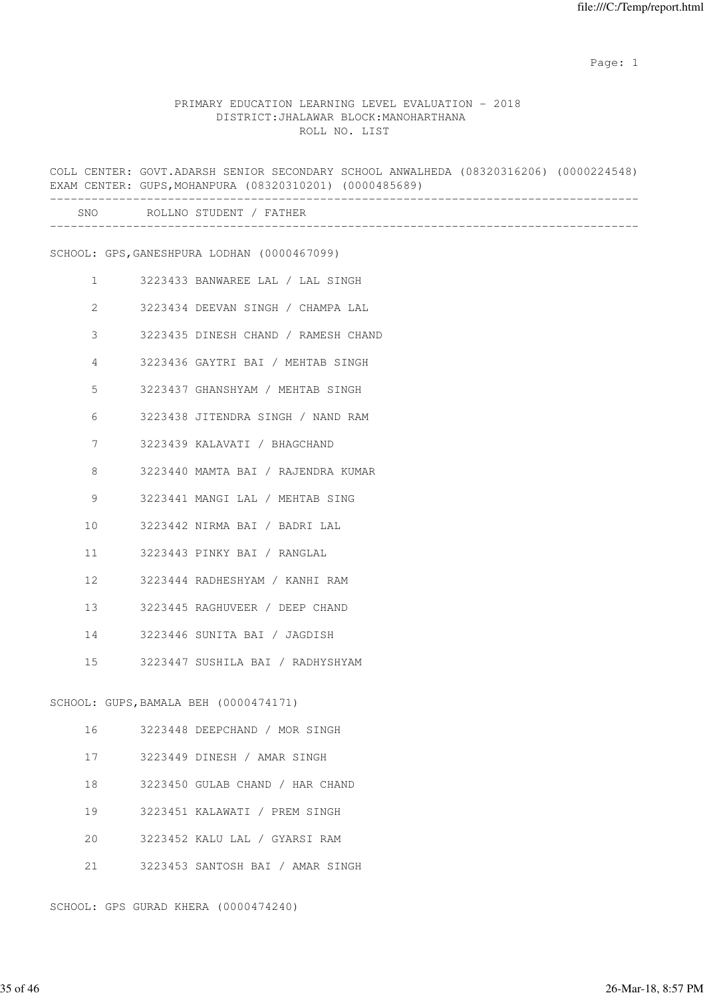#### PRIMARY EDUCATION LEARNING LEVEL EVALUATION - 2018 DISTRICT:JHALAWAR BLOCK:MANOHARTHANA ROLL NO. LIST

COLL CENTER: GOVT.ADARSH SENIOR SECONDARY SCHOOL ANWALHEDA (08320316206) (0000224548) EXAM CENTER: GUPS,MOHANPURA (08320310201) (0000485689) ------------------------------------------------------------------------------------- SNO ROLLNO STUDENT / FATHER ------------------------------------------------------------------------------------- SCHOOL: GPS,GANESHPURA LODHAN (0000467099) 1 3223433 BANWAREE LAL / LAL SINGH 2 3223434 DEEVAN SINGH / CHAMPA LAL 3 3223435 DINESH CHAND / RAMESH CHAND 4 3223436 GAYTRI BAI / MEHTAB SINGH 5 3223437 GHANSHYAM / MEHTAB SINGH 6 3223438 JITENDRA SINGH / NAND RAM 7 3223439 KALAVATI / BHAGCHAND 8 3223440 MAMTA BAI / RAJENDRA KUMAR 9 3223441 MANGI LAL / MEHTAB SING 10 3223442 NIRMA BAI / BADRI LAL 11 3223443 PINKY BAI / RANGLAL 12 3223444 RADHESHYAM / KANHI RAM 13 3223445 RAGHUVEER / DEEP CHAND 14 3223446 SUNITA BAI / JAGDISH 15 3223447 SUSHILA BAI / RADHYSHYAM SCHOOL: GUPS,BAMALA BEH (0000474171) 16 3223448 DEEPCHAND / MOR SINGH 17 3223449 DINESH / AMAR SINGH 18 3223450 GULAB CHAND / HAR CHAND 19 3223451 KALAWATI / PREM SINGH 20 3223452 KALU LAL / GYARSI RAM

21 3223453 SANTOSH BAI / AMAR SINGH

SCHOOL: GPS GURAD KHERA (0000474240)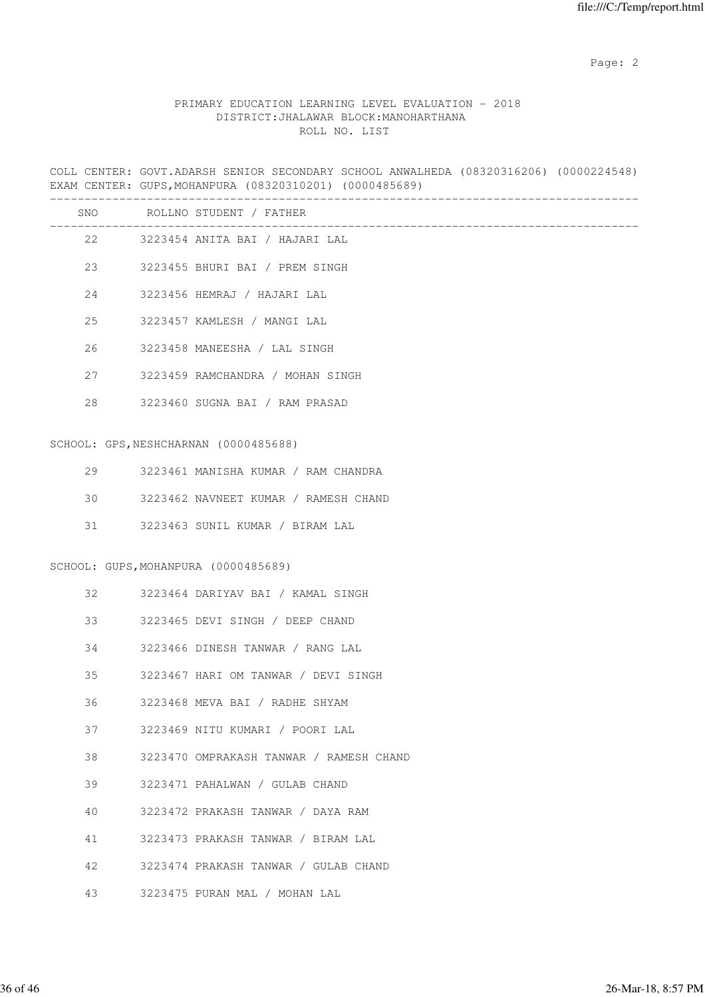# PRIMARY EDUCATION LEARNING LEVEL EVALUATION - 2018 DISTRICT:JHALAWAR BLOCK:MANOHARTHANA ROLL NO. LIST

COLL CENTER: GOVT.ADARSH SENIOR SECONDARY SCHOOL ANWALHEDA (08320316206) (0000224548) EXAM CENTER: GUPS,MOHANPURA (08320310201) (0000485689)

|    | SNO ROLLNO STUDENT / FATHER             |
|----|-----------------------------------------|
|    | 22 3223454 ANITA BAI / HAJARI LAL       |
|    | 23 3223455 BHURI BAI / PREM SINGH       |
|    | 24 3223456 HEMRAJ / HAJARI LAL          |
| 25 | 3223457 KAMLESH / MANGI LAL             |
| 26 | 3223458 MANEESHA / LAL SINGH            |
|    | 27 3223459 RAMCHANDRA / MOHAN SINGH     |
|    | 28 3223460 SUGNA BAI / RAM PRASAD       |
|    | SCHOOL: GPS, NESHCHARNAN (0000485688)   |
|    |                                         |
| 29 | 3223461 MANISHA KUMAR / RAM CHANDRA     |
| 30 | 3223462 NAVNEET KUMAR / RAMESH CHAND    |
| 31 | 3223463 SUNIL KUMAR / BIRAM LAL         |
|    | SCHOOL: GUPS, MOHANPURA (0000485689)    |
| 32 | 3223464 DARIYAV BAI / KAMAL SINGH       |
|    | 3223465 DEVI SINGH / DEEP CHAND         |
| 34 | 3223466 DINESH TANWAR / RANG LAL        |
| 35 | 3223467 HARI OM TANWAR / DEVI SINGH     |
| 36 | 3223468 MEVA BAI / RADHE SHYAM          |
| 37 | 3223469 NITU KUMARI / POORI LAL         |
| 38 | 3223470 OMPRAKASH TANWAR / RAMESH CHAND |
| 39 | 3223471 PAHALWAN / GULAB CHAND          |
| 40 | 3223472 PRAKASH TANWAR / DAYA RAM       |
| 41 | 3223473 PRAKASH TANWAR / BIRAM LAL      |
| 42 | 3223474 PRAKASH TANWAR / GULAB CHAND    |
| 43 | 3223475 PURAN MAL / MOHAN LAL           |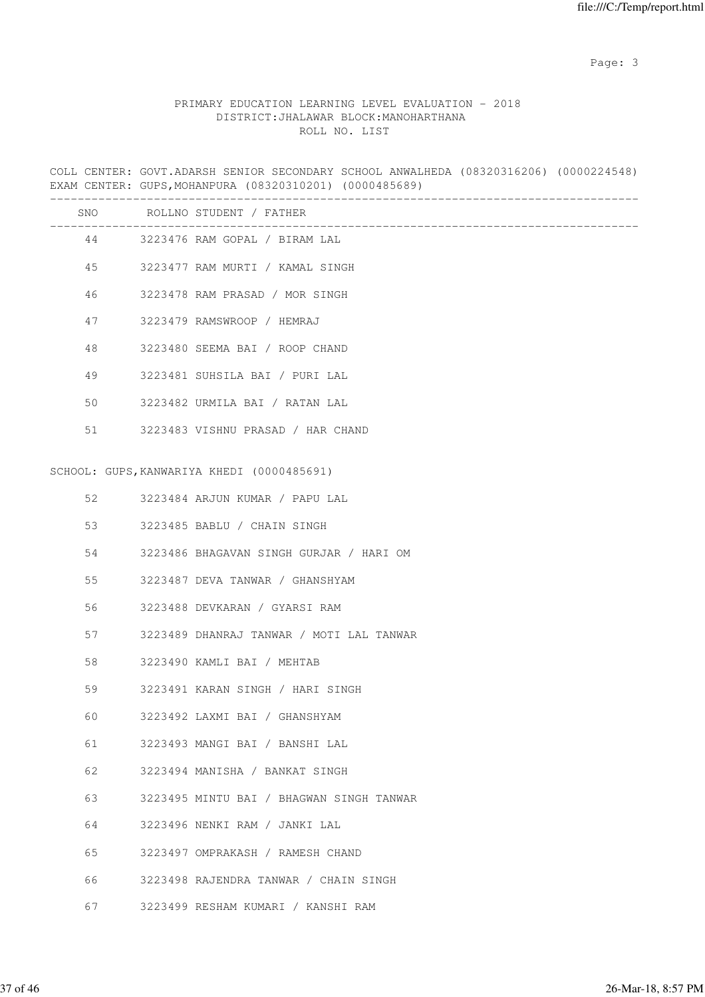Page: 3 Advanced 20 April 2014 2016 2017 2022 3 April 2017 2022 3 April 2022 3 April 2022 3 April 2022 3 April 2022 3 April 2022 3 April 2022 3 April 2022 3 April 2022 3 April 2022 3 April 2022 3 April 2022 3 April 2022 3

# PRIMARY EDUCATION LEARNING LEVEL EVALUATION - 2018 DISTRICT:JHALAWAR BLOCK:MANOHARTHANA ROLL NO. LIST

COLL CENTER: GOVT.ADARSH SENIOR SECONDARY SCHOOL ANWALHEDA (08320316206) (0000224548) EXAM CENTER: GUPS,MOHANPURA (08320310201) (0000485689)

|    | SNO ROLLNO STUDENT / FATHER                |
|----|--------------------------------------------|
|    | 44 3223476 RAM GOPAL / BIRAM LAL           |
| 45 | 3223477 RAM MURTI / KAMAL SINGH            |
| 46 | 3223478 RAM PRASAD / MOR SINGH             |
| 47 | 3223479 RAMSWROOP / HEMRAJ                 |
| 48 | 3223480 SEEMA BAI / ROOP CHAND             |
| 49 | 3223481 SUHSILA BAI / PURI LAL             |
| 50 | 3223482 URMILA BAI / RATAN LAL             |
| 51 | 3223483 VISHNU PRASAD / HAR CHAND          |
|    |                                            |
|    | SCHOOL: GUPS, KANWARIYA KHEDI (0000485691) |
| 52 | 3223484 ARJUN KUMAR / PAPU LAL             |
| 53 | 3223485 BABLU / CHAIN SINGH                |
| 54 | 3223486 BHAGAVAN SINGH GURJAR / HARI OM    |
| 55 | 3223487 DEVA TANWAR / GHANSHYAM            |
| 56 | 3223488 DEVKARAN / GYARSI RAM              |
| 57 | 3223489 DHANRAJ TANWAR / MOTI LAL TANWAR   |
| 58 | 3223490 KAMLI BAI / MEHTAB                 |
| 59 | 3223491 KARAN SINGH / HARI SINGH           |
| 60 | 3223492 LAXMI BAI / GHANSHYAM              |
| 61 | 3223493 MANGI BAI / BANSHI LAL             |
| 62 | 3223494 MANISHA / BANKAT SINGH             |
| 63 | 3223495 MINTU BAI / BHAGWAN SINGH TANWAR   |
| 64 | 3223496 NENKI RAM / JANKI LAL              |
| 65 | 3223497 OMPRAKASH / RAMESH CHAND           |
| 66 | 3223498 RAJENDRA TANWAR / CHAIN SINGH      |
| 67 | 3223499 RESHAM KUMARI / KANSHI RAM         |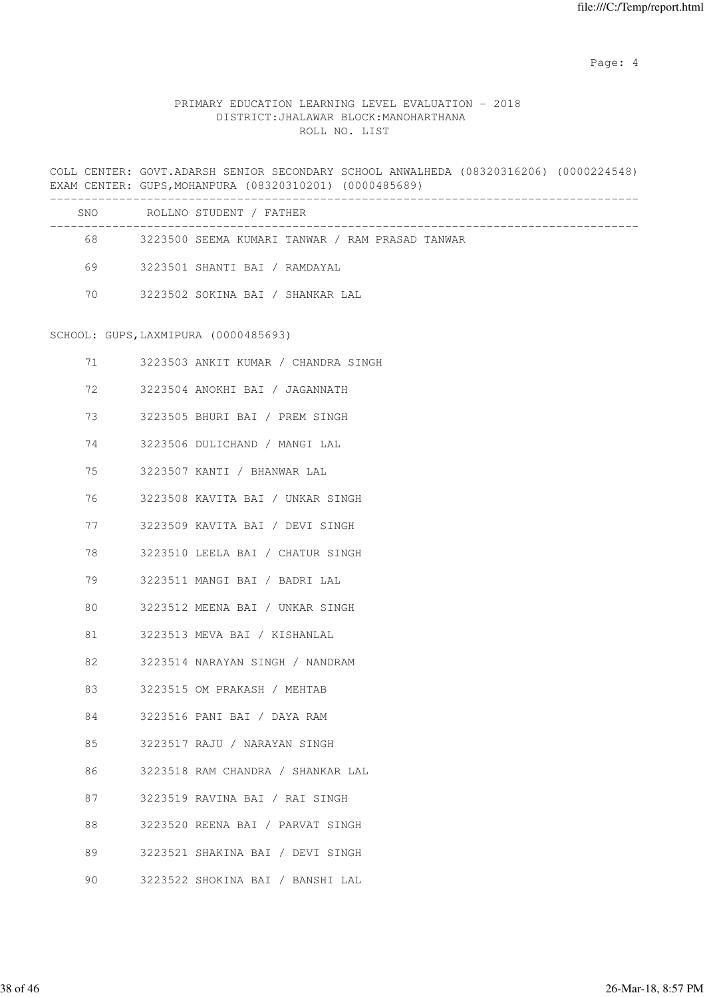Page: 4  $P$ 

### PRIMARY EDUCATION LEARNING LEVEL EVALUATION - 2018 DISTRICT:JHALAWAR BLOCK:MANOHARTHANA ROLL NO. LIST

COLL CENTER: GOVT.ADARSH SENIOR SECONDARY SCHOOL ANWALHEDA (08320316206) (0000224548) EXAM CENTER: GUPS,MOHANPURA (08320310201) (0000485689) ------------------------------------------------------------------------------------- SNO ROLLNO STUDENT / FATHER ------------------------------------------------------------------------------------- 68 3223500 SEEMA KUMARI TANWAR / RAM PRASAD TANWAR 69 3223501 SHANTI BAI / RAMDAYAL 70 3223502 SOKINA BAI / SHANKAR LAL SCHOOL: GUPS,LAXMIPURA (0000485693) 71 3223503 ANKIT KUMAR / CHANDRA SINGH 72 3223504 ANOKHI BAI / JAGANNATH 73 3223505 BHURI BAI / PREM SINGH 74 3223506 DULICHAND / MANGI LAL 75 3223507 KANTI / BHANWAR LAL 76 3223508 KAVITA BAI / UNKAR SINGH 77 3223509 KAVITA BAI / DEVI SINGH 78 3223510 LEELA BAI / CHATUR SINGH 79 3223511 MANGI BAI / BADRI LAL 80 3223512 MEENA BAI / UNKAR SINGH 81 3223513 MEVA BAI / KISHANLAL 82 3223514 NARAYAN SINGH / NANDRAM 83 3223515 OM PRAKASH / MEHTAB 84 3223516 PANI BAI / DAYA RAM 85 3223517 RAJU / NARAYAN SINGH 86 3223518 RAM CHANDRA / SHANKAR LAL 87 3223519 RAVINA BAI / RAI SINGH 88 3223520 REENA BAI / PARVAT SINGH 89 3223521 SHAKINA BAI / DEVI SINGH

90 3223522 SHOKINA BAI / BANSHI LAL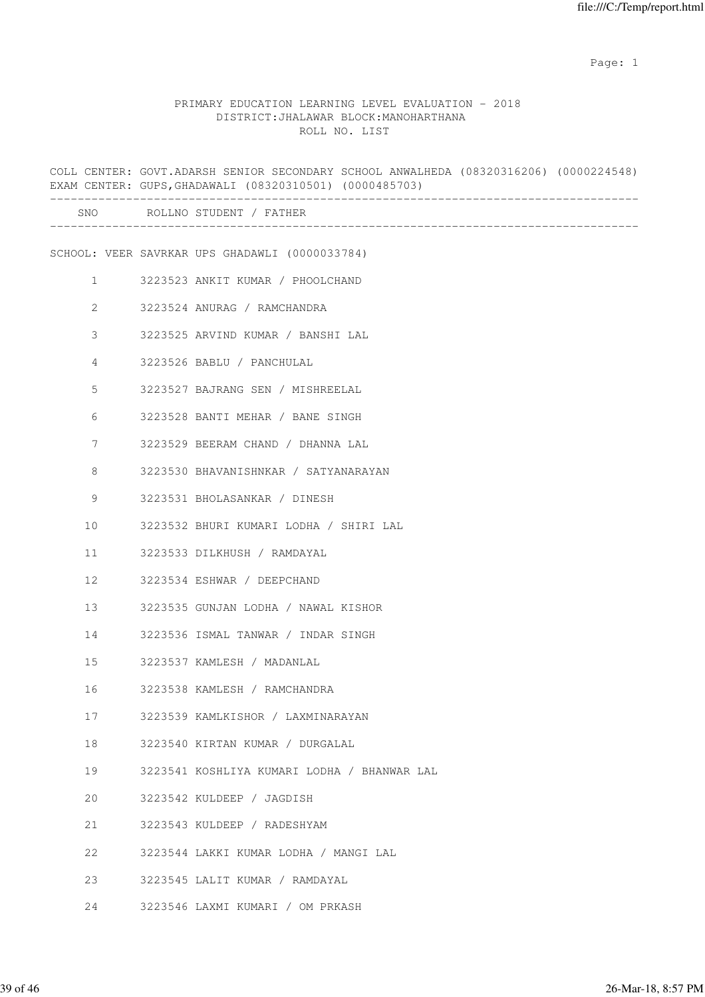### PRIMARY EDUCATION LEARNING LEVEL EVALUATION - 2018 DISTRICT:JHALAWAR BLOCK:MANOHARTHANA ROLL NO. LIST

COLL CENTER: GOVT.ADARSH SENIOR SECONDARY SCHOOL ANWALHEDA (08320316206) (0000224548) EXAM CENTER: GUPS,GHADAWALI (08320310501) (0000485703) ------------------------------------------------------------------------------------- SNO ROLLNO STUDENT / FATHER ------------------------------------------------------------------------------------- SCHOOL: VEER SAVRKAR UPS GHADAWLI (0000033784) 1 3223523 ANKIT KUMAR / PHOOLCHAND 2 3223524 ANURAG / RAMCHANDRA 3 3223525 ARVIND KUMAR / BANSHI LAL 4 3223526 BABLU / PANCHULAL 5 3223527 BAJRANG SEN / MISHREELAL 6 3223528 BANTI MEHAR / BANE SINGH 7 3223529 BEERAM CHAND / DHANNA LAL 8 3223530 BHAVANISHNKAR / SATYANARAYAN 9 3223531 BHOLASANKAR / DINESH 10 3223532 BHURI KUMARI LODHA / SHIRI LAL 11 3223533 DILKHUSH / RAMDAYAL 12 3223534 ESHWAR / DEEPCHAND 13 3223535 GUNJAN LODHA / NAWAL KISHOR 14 3223536 ISMAL TANWAR / INDAR SINGH 15 3223537 KAMLESH / MADANLAL 16 3223538 KAMLESH / RAMCHANDRA 17 3223539 KAMLKISHOR / LAXMINARAYAN 18 3223540 KIRTAN KUMAR / DURGALAL 19 3223541 KOSHLIYA KUMARI LODHA / BHANWAR LAL 20 3223542 KULDEEP / JAGDISH 21 3223543 KULDEEP / RADESHYAM 22 3223544 LAKKI KUMAR LODHA / MANGI LAL 23 3223545 LALIT KUMAR / RAMDAYAL 24 3223546 LAXMI KUMARI / OM PRKASH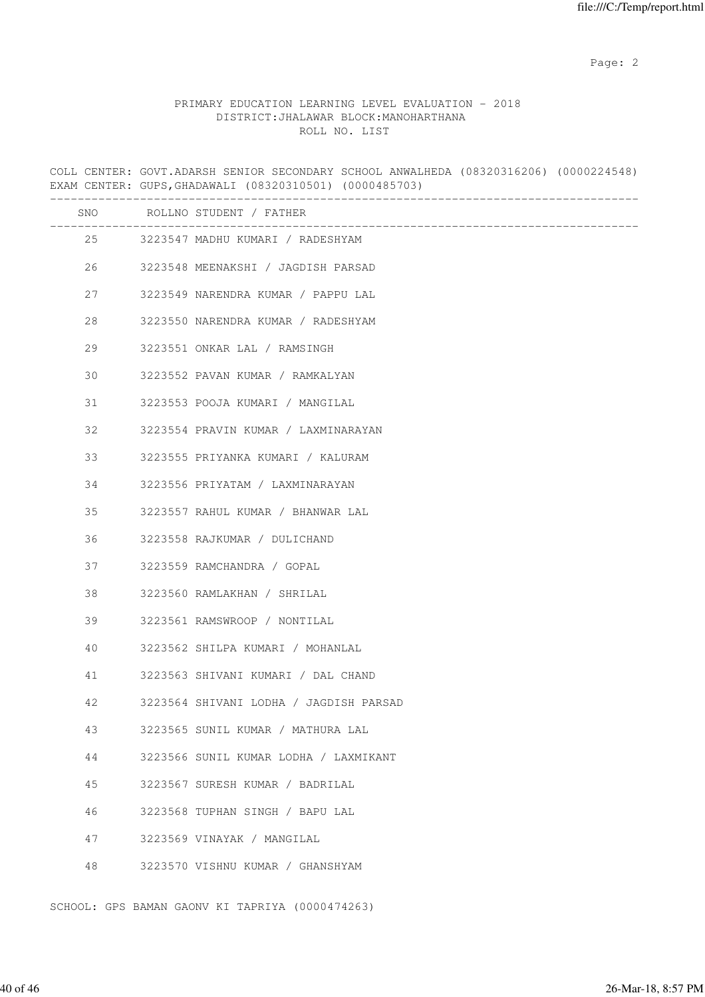### PRIMARY EDUCATION LEARNING LEVEL EVALUATION - 2018 DISTRICT:JHALAWAR BLOCK:MANOHARTHANA ROLL NO. LIST

COLL CENTER: GOVT.ADARSH SENIOR SECONDARY SCHOOL ANWALHEDA (08320316206) (0000224548) EXAM CENTER: GUPS,GHADAWALI (08320310501) (0000485703) ------------------------------------------------------------------------------------- SNO ROLLNO STUDENT / FATHER ------------------------------------------------------------------------------------- 25 3223547 MADHU KUMARI / RADESHYAM 26 3223548 MEENAKSHI / JAGDISH PARSAD 27 3223549 NARENDRA KUMAR / PAPPU LAL 28 3223550 NARENDRA KUMAR / RADESHYAM 29 3223551 ONKAR LAL / RAMSINGH 30 3223552 PAVAN KUMAR / RAMKALYAN 31 3223553 POOJA KUMARI / MANGILAL 32 3223554 PRAVIN KUMAR / LAXMINARAYAN 33 3223555 PRIYANKA KUMARI / KALURAM 34 3223556 PRIYATAM / LAXMINARAYAN 35 3223557 RAHUL KUMAR / BHANWAR LAL 36 3223558 RAJKUMAR / DULICHAND 37 3223559 RAMCHANDRA / GOPAL 38 3223560 RAMLAKHAN / SHRILAL 39 3223561 RAMSWROOP / NONTILAL 40 3223562 SHILPA KUMARI / MOHANLAL 41 3223563 SHIVANI KUMARI / DAL CHAND 42 3223564 SHIVANI LODHA / JAGDISH PARSAD 43 3223565 SUNIL KUMAR / MATHURA LAL 44 3223566 SUNIL KUMAR LODHA / LAXMIKANT 45 3223567 SURESH KUMAR / BADRILAL 46 3223568 TUPHAN SINGH / BAPU LAL 47 3223569 VINAYAK / MANGILAL 48 3223570 VISHNU KUMAR / GHANSHYAM

SCHOOL: GPS BAMAN GAONV KI TAPRIYA (0000474263)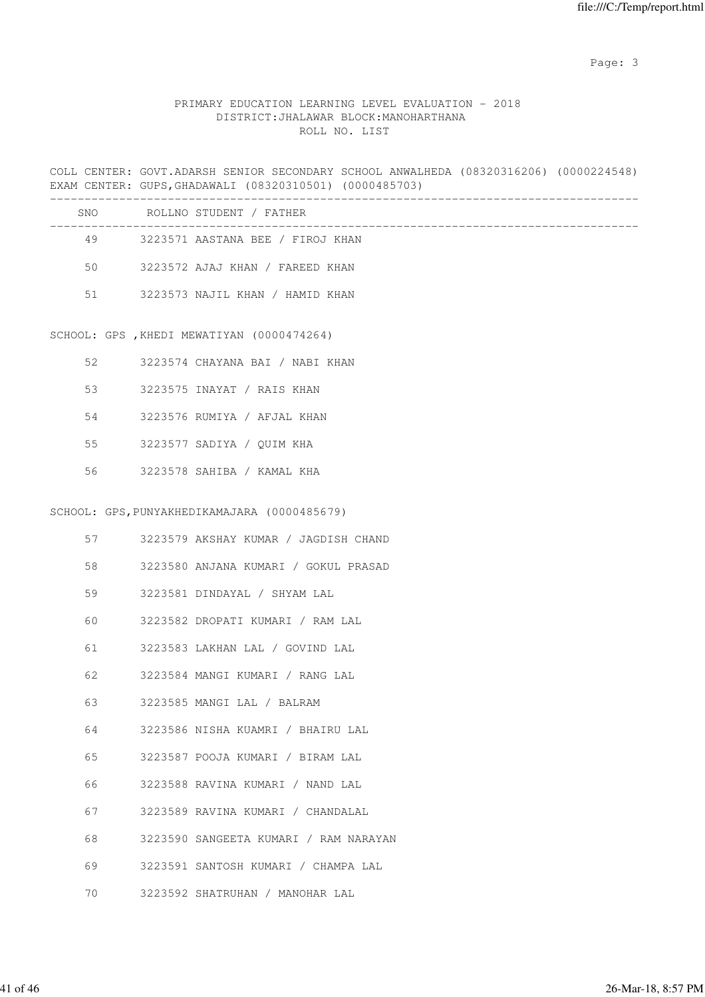Page: 3 Advanced 20 April 2014 2016 2017 2022 3 April 2017 2022 3 April 2022 3 April 2022 3 April 2022 3 April 2022 3 April 2022 3 April 2022 3 April 2022 3 April 2022 3 April 2022 3 April 2022 3 April 2022 3 April 2022 3

# PRIMARY EDUCATION LEARNING LEVEL EVALUATION - 2018 DISTRICT:JHALAWAR BLOCK:MANOHARTHANA ROLL NO. LIST

COLL CENTER: GOVT.ADARSH SENIOR SECONDARY SCHOOL ANWALHEDA (08320316206) (0000224548) EXAM CENTER: GUPS,GHADAWALI (08320310501) (0000485703)

| SNO | ROLLNO STUDENT / FATHER                   |
|-----|-------------------------------------------|
| 49  | 3223571 AASTANA BEE / FIROJ KHAN          |
| 50  | 3223572 AJAJ KHAN / FAREED KHAN           |
| 51  | 3223573 NAJIL KHAN / HAMID KHAN           |
|     | SCHOOL: GPS, KHEDI MEWATIYAN (0000474264) |

|  |  | 3223574 CHAYANA BAI |  |  | / NART . | KHAN |  |
|--|--|---------------------|--|--|----------|------|--|
|--|--|---------------------|--|--|----------|------|--|

- 53 3223575 INAYAT / RAIS KHAN
- 54 3223576 RUMIYA / AFJAL KHAN
- 55 3223577 SADIYA / QUIM KHA
- 56 3223578 SAHIBA / KAMAL KHA

#### SCHOOL: GPS,PUNYAKHEDIKAMAJARA (0000485679)

| 57 | 3223579 AKSHAY KUMAR / JAGDISH CHAND  |
|----|---------------------------------------|
| 58 | 3223580 ANJANA KUMARI / GOKUL PRASAD  |
| 59 | 3223581 DINDAYAL / SHYAM LAL          |
| 60 | 3223582 DROPATI KUMARI / RAM LAL      |
| 61 | 3223583 LAKHAN LAL / GOVIND LAL       |
| 62 | 3223584 MANGI KUMARI / RANG LAL       |
| 63 | 3223585 MANGI LAL / BALRAM            |
| 64 | 3223586 NISHA KUAMRI / BHAIRU LAL     |
| 65 | 3223587 POOJA KUMARI / BIRAM LAL      |
| 66 | 3223588 RAVINA KUMARI / NAND LAL      |
| 67 | 3223589 RAVINA KUMARI / CHANDALAL     |
| 68 | 3223590 SANGEETA KUMARI / RAM NARAYAN |
| 69 | 3223591 SANTOSH KUMARI / CHAMPA LAL   |
| 70 | 3223592 SHATRUHAN / MANOHAR LAL       |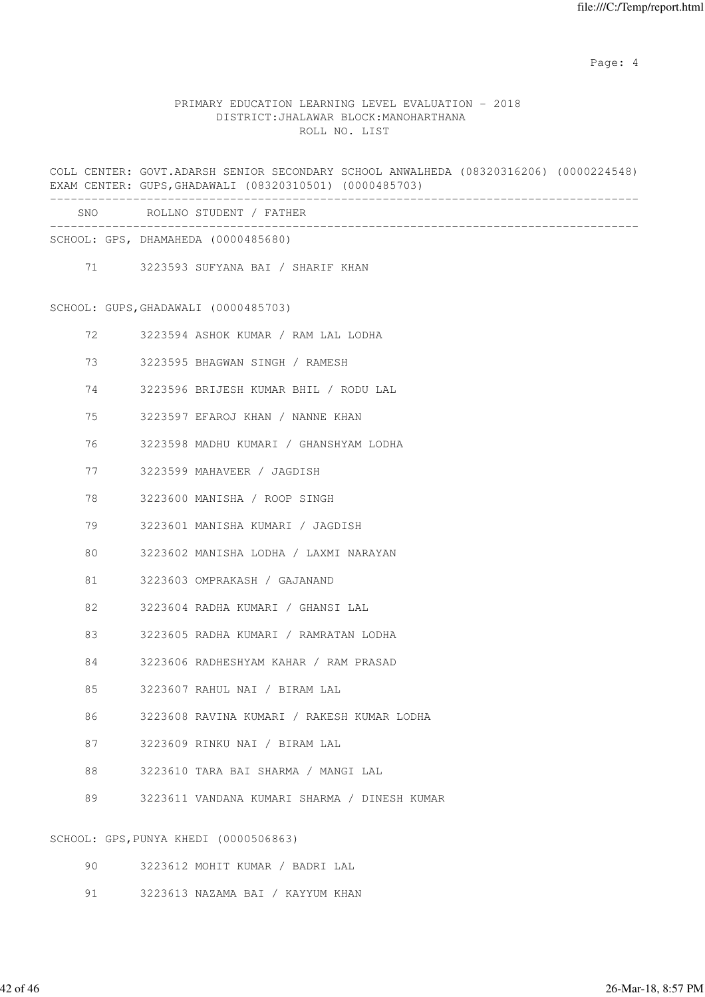Page: 4  $P$ 

### PRIMARY EDUCATION LEARNING LEVEL EVALUATION - 2018 DISTRICT:JHALAWAR BLOCK:MANOHARTHANA ROLL NO. LIST

COLL CENTER: GOVT.ADARSH SENIOR SECONDARY SCHOOL ANWALHEDA (08320316206) (0000224548) EXAM CENTER: GUPS,GHADAWALI (08320310501) (0000485703) ------------------------------------------------------------------------------------- SNO ROLLNO STUDENT / FATHER -------------------------------------------------------------------------------------

SCHOOL: GPS, DHAMAHEDA (0000485680)

71 3223593 SUFYANA BAI / SHARIF KHAN

SCHOOL: GUPS,GHADAWALI (0000485703)

- 72 3223594 ASHOK KUMAR / RAM LAL LODHA
- 73 3223595 BHAGWAN SINGH / RAMESH
- 74 3223596 BRIJESH KUMAR BHIL / RODU LAL
- 75 3223597 EFAROJ KHAN / NANNE KHAN
- 76 3223598 MADHU KUMARI / GHANSHYAM LODHA
- 77 3223599 MAHAVEER / JAGDISH
- 78 3223600 MANISHA / ROOP SINGH
- 79 3223601 MANISHA KUMARI / JAGDISH
- 80 3223602 MANISHA LODHA / LAXMI NARAYAN
- 81 3223603 OMPRAKASH / GAJANAND
- 82 3223604 RADHA KUMARI / GHANSI LAL
- 83 3223605 RADHA KUMARI / RAMRATAN LODHA
- 84 3223606 RADHESHYAM KAHAR / RAM PRASAD
- 85 3223607 RAHUL NAI / BIRAM LAL
- 86 3223608 RAVINA KUMARI / RAKESH KUMAR LODHA
- 87 3223609 RINKU NAI / BIRAM LAL
- 88 3223610 TARA BAI SHARMA / MANGI LAL
- 89 3223611 VANDANA KUMARI SHARMA / DINESH KUMAR

SCHOOL: GPS,PUNYA KHEDI (0000506863)

- 90 3223612 MOHIT KUMAR / BADRI LAL
- 91 3223613 NAZAMA BAI / KAYYUM KHAN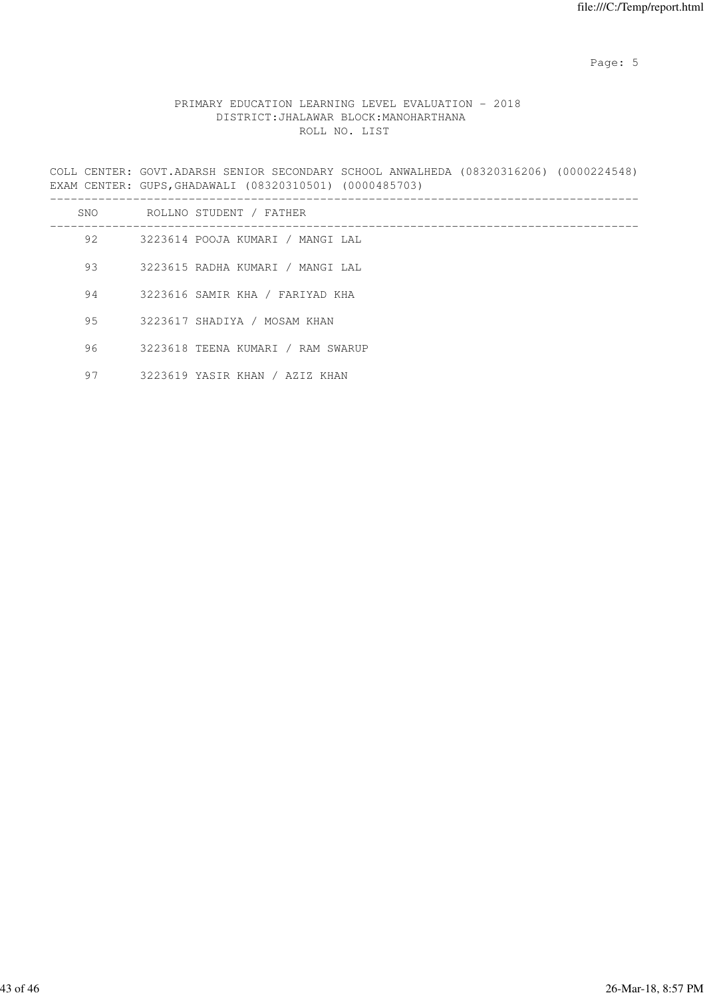Page: 5  $P$  and  $P$  and  $P$  and  $P$  and  $P$  and  $P$  and  $P$  and  $P$  and  $P$  and  $P$  and  $P$  and  $P$  and  $P$  and  $P$  and  $P$  and  $P$  and  $P$  and  $P$  and  $P$  and  $P$  and  $P$  and  $P$  and  $P$  and  $P$  and  $P$  and  $P$  and  $P$  an

# PRIMARY EDUCATION LEARNING LEVEL EVALUATION - 2018 DISTRICT:JHALAWAR BLOCK:MANOHARTHANA ROLL NO. LIST

COLL CENTER: GOVT.ADARSH SENIOR SECONDARY SCHOOL ANWALHEDA (08320316206) (0000224548) EXAM CENTER: GUPS,GHADAWALI (08320310501) (0000485703)

| SNO | ROLLNO STUDENT / FATHER           |
|-----|-----------------------------------|
| 92  | 3223614 POOJA KUMARI / MANGI LAL  |
| 93  | 3223615 RADHA KUMARI / MANGI LAL  |
| 94  | 3223616 SAMIR KHA / FARIYAD KHA   |
| 95  | 3223617 SHADIYA / MOSAM KHAN      |
| 96  | 3223618 TEENA KUMARI / RAM SWARUP |
| 97  | 3223619 YASIR KHAN / AZIZ KHAN    |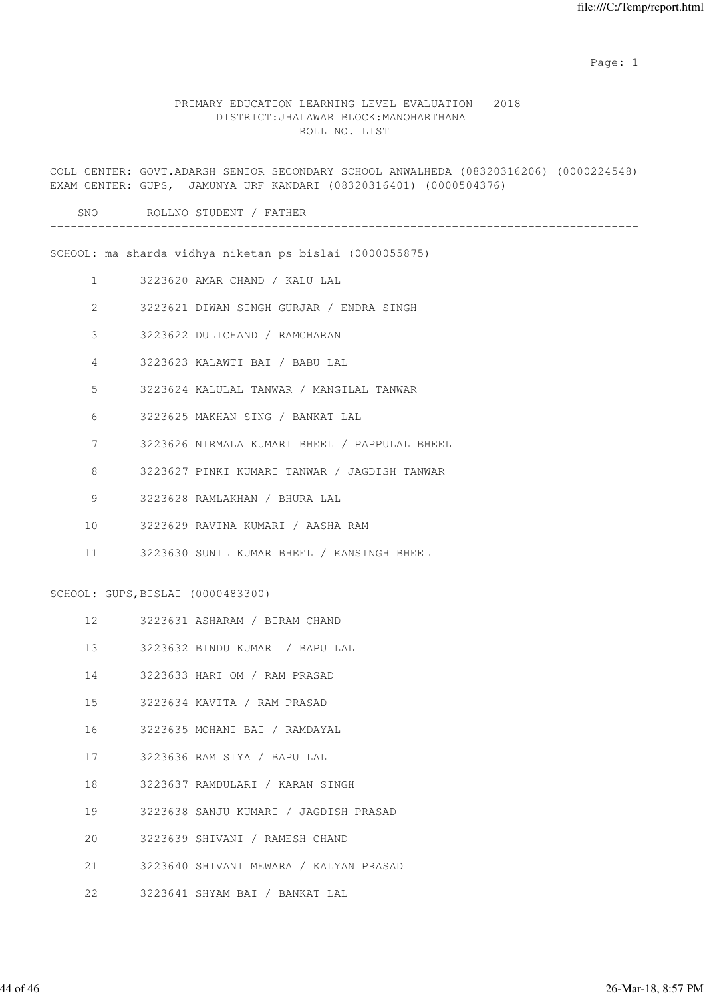### PRIMARY EDUCATION LEARNING LEVEL EVALUATION - 2018 DISTRICT:JHALAWAR BLOCK:MANOHARTHANA ROLL NO. LIST

COLL CENTER: GOVT.ADARSH SENIOR SECONDARY SCHOOL ANWALHEDA (08320316206) (0000224548) EXAM CENTER: GUPS, JAMUNYA URF KANDARI (08320316401) (0000504376) ------------------------------------------------------------------------------------- SNO ROLLNO STUDENT / FATHER ------------------------------------------------------------------------------------- SCHOOL: ma sharda vidhya niketan ps bislai (0000055875) 1 3223620 AMAR CHAND / KALU LAL 2 3223621 DIWAN SINGH GURJAR / ENDRA SINGH 3 3223622 DULICHAND / RAMCHARAN 4 3223623 KALAWTI BAI / BABU LAL 5 3223624 KALULAL TANWAR / MANGILAL TANWAR 6 3223625 MAKHAN SING / BANKAT LAL 7 3223626 NIRMALA KUMARI BHEEL / PAPPULAL BHEEL 8 3223627 PINKI KUMARI TANWAR / JAGDISH TANWAR 9 3223628 RAMLAKHAN / BHURA LAL 10 3223629 RAVINA KUMARI / AASHA RAM 11 3223630 SUNIL KUMAR BHEEL / KANSINGH BHEEL SCHOOL: GUPS,BISLAI (0000483300) 12 3223631 ASHARAM / BIRAM CHAND 13 3223632 BINDU KUMARI / BAPU LAL 14 3223633 HARI OM / RAM PRASAD 15 3223634 KAVITA / RAM PRASAD 16 3223635 MOHANI BAI / RAMDAYAL 17 3223636 RAM SIYA / BAPU LAL 18 3223637 RAMDULARI / KARAN SINGH 19 3223638 SANJU KUMARI / JAGDISH PRASAD 20 3223639 SHIVANI / RAMESH CHAND 21 3223640 SHIVANI MEWARA / KALYAN PRASAD

22 3223641 SHYAM BAI / BANKAT LAL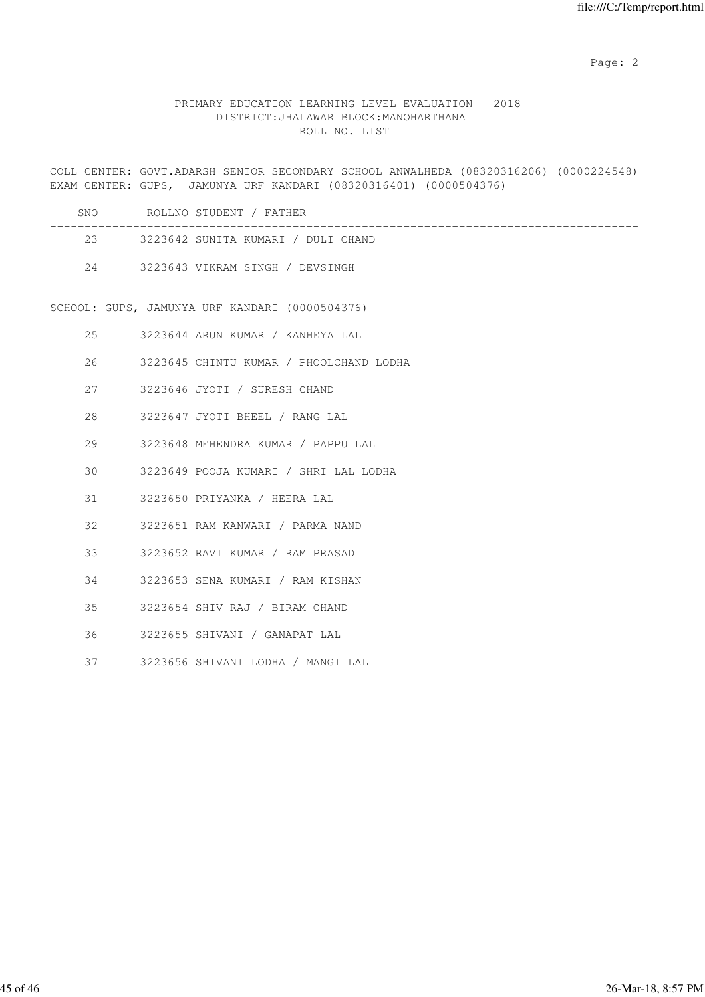### PRIMARY EDUCATION LEARNING LEVEL EVALUATION - 2018 DISTRICT:JHALAWAR BLOCK:MANOHARTHANA ROLL NO. LIST

COLL CENTER: GOVT.ADARSH SENIOR SECONDARY SCHOOL ANWALHEDA (08320316206) (0000224548) EXAM CENTER: GUPS, JAMUNYA URF KANDARI (08320316401) (0000504376) ------------------------------------------------------------------------------------- SNO ROLLNO STUDENT / FATHER ------------------------------------------------------------------------------------- 23 3223642 SUNITA KUMARI / DULI CHAND 24 3223643 VIKRAM SINGH / DEVSINGH SCHOOL: GUPS, JAMUNYA URF KANDARI (0000504376) 25 3223644 ARUN KUMAR / KANHEYA LAL 26 3223645 CHINTU KUMAR / PHOOLCHAND LODHA 27 3223646 JYOTI / SURESH CHAND 28 3223647 JYOTI BHEEL / RANG LAL 29 3223648 MEHENDRA KUMAR / PAPPU LAL 30 3223649 POOJA KUMARI / SHRI LAL LODHA 31 3223650 PRIYANKA / HEERA LAL 32 3223651 RAM KANWARI / PARMA NAND 33 3223652 RAVI KUMAR / RAM PRASAD 34 3223653 SENA KUMARI / RAM KISHAN 35 3223654 SHIV RAJ / BIRAM CHAND 36 3223655 SHIVANI / GANAPAT LAL 37 3223656 SHIVANI LODHA / MANGI LAL